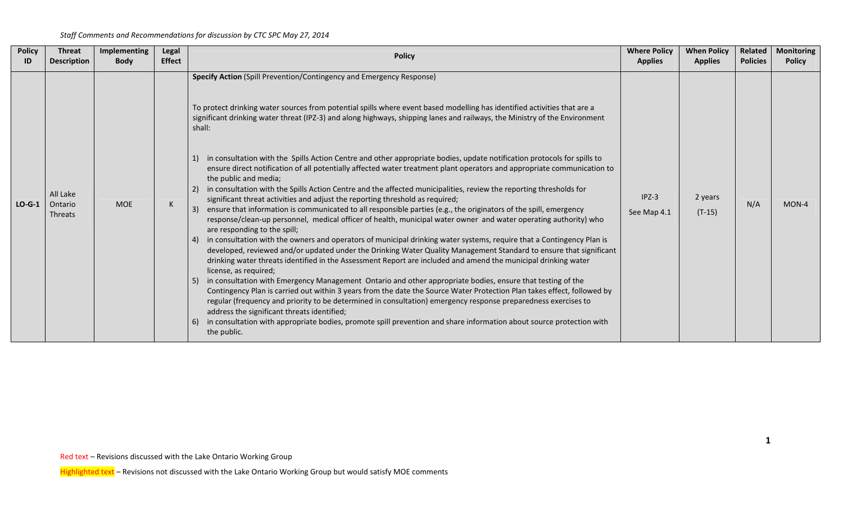| <b>Policy</b> | <b>Threat</b>                         | Implementing | Legal         | <b>Policy</b>                                                                                                                                                                                                                                                                                                                                                                                                                                                                                                                                                                                                                                                                                                                                                                                                                                                                                                                                                                                                                                                                                                                                                                                                                                                                                                                                                                                                                                                                                                                                                                                                                                                                                                                                                                                                                                                                                                                                                                                                                                             | <b>Where Policy</b>    | <b>When Policy</b>  | <b>Related</b>  | <b>Monitoring</b> |
|---------------|---------------------------------------|--------------|---------------|-----------------------------------------------------------------------------------------------------------------------------------------------------------------------------------------------------------------------------------------------------------------------------------------------------------------------------------------------------------------------------------------------------------------------------------------------------------------------------------------------------------------------------------------------------------------------------------------------------------------------------------------------------------------------------------------------------------------------------------------------------------------------------------------------------------------------------------------------------------------------------------------------------------------------------------------------------------------------------------------------------------------------------------------------------------------------------------------------------------------------------------------------------------------------------------------------------------------------------------------------------------------------------------------------------------------------------------------------------------------------------------------------------------------------------------------------------------------------------------------------------------------------------------------------------------------------------------------------------------------------------------------------------------------------------------------------------------------------------------------------------------------------------------------------------------------------------------------------------------------------------------------------------------------------------------------------------------------------------------------------------------------------------------------------------------|------------------------|---------------------|-----------------|-------------------|
| ID            | <b>Description</b>                    | <b>Body</b>  | <b>Effect</b> |                                                                                                                                                                                                                                                                                                                                                                                                                                                                                                                                                                                                                                                                                                                                                                                                                                                                                                                                                                                                                                                                                                                                                                                                                                                                                                                                                                                                                                                                                                                                                                                                                                                                                                                                                                                                                                                                                                                                                                                                                                                           | <b>Applies</b>         | <b>Applies</b>      | <b>Policies</b> | <b>Policy</b>     |
| $LO-G-1$      | All Lake<br>Ontario<br><b>Threats</b> | <b>MOE</b>   | K             | Specify Action (Spill Prevention/Contingency and Emergency Response)<br>To protect drinking water sources from potential spills where event based modelling has identified activities that are a<br>significant drinking water threat (IPZ-3) and along highways, shipping lanes and railways, the Ministry of the Environment<br>shall:<br>in consultation with the Spills Action Centre and other appropriate bodies, update notification protocols for spills to<br>ensure direct notification of all potentially affected water treatment plant operators and appropriate communication to<br>the public and media;<br>in consultation with the Spills Action Centre and the affected municipalities, review the reporting thresholds for<br>significant threat activities and adjust the reporting threshold as required;<br>ensure that information is communicated to all responsible parties (e.g., the originators of the spill, emergency<br>response/clean-up personnel, medical officer of health, municipal water owner and water operating authority) who<br>are responding to the spill;<br>in consultation with the owners and operators of municipal drinking water systems, require that a Contingency Plan is<br>-4)<br>developed, reviewed and/or updated under the Drinking Water Quality Management Standard to ensure that significant<br>drinking water threats identified in the Assessment Report are included and amend the municipal drinking water<br>license, as required;<br>in consultation with Emergency Management Ontario and other appropriate bodies, ensure that testing of the<br>Contingency Plan is carried out within 3 years from the date the Source Water Protection Plan takes effect, followed by<br>regular (frequency and priority to be determined in consultation) emergency response preparedness exercises to<br>address the significant threats identified;<br>in consultation with appropriate bodies, promote spill prevention and share information about source protection with<br>the public. | $IPZ-3$<br>See Map 4.1 | 2 years<br>$(T-15)$ | N/A             | MON-4             |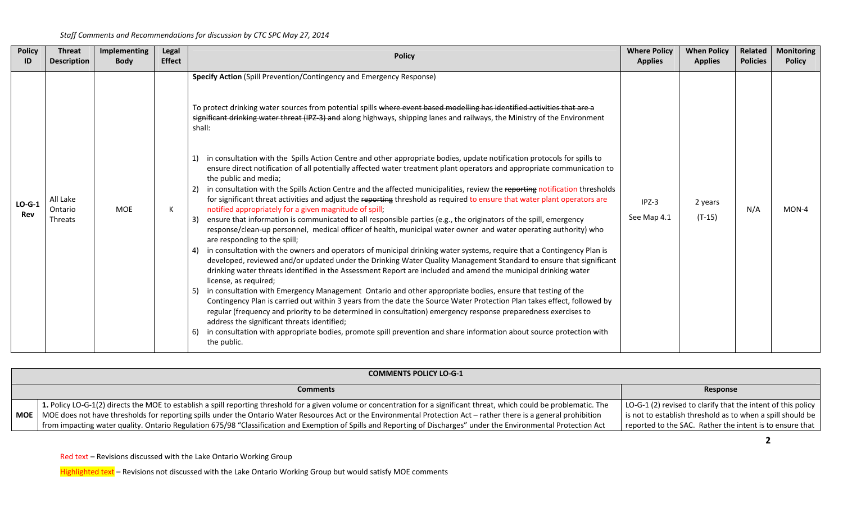| <b>Policy</b><br>ID | <b>Threat</b><br><b>Description</b> | Implementing<br><b>Body</b> | Legal<br><b>Effect</b> | <b>Policy</b>                                                                                                                                                                                                                                                                                                                                                                                                                                                                                                                                                                                                                                                                                                                                                                                                                                                                                                                                                                                                                                                                                                                                                                                                                                                                                                                                                                                                                                                                                                                                                                                                                                                                                                                                                                                                                                                                                                                                                                  | <b>Where Policy</b><br><b>Applies</b> | <b>When Policy</b><br><b>Applies</b>                                                                                                                                                     | Related<br><b>Policies</b> | <b>Monitoring</b><br><b>Policy</b> |  |  |
|---------------------|-------------------------------------|-----------------------------|------------------------|--------------------------------------------------------------------------------------------------------------------------------------------------------------------------------------------------------------------------------------------------------------------------------------------------------------------------------------------------------------------------------------------------------------------------------------------------------------------------------------------------------------------------------------------------------------------------------------------------------------------------------------------------------------------------------------------------------------------------------------------------------------------------------------------------------------------------------------------------------------------------------------------------------------------------------------------------------------------------------------------------------------------------------------------------------------------------------------------------------------------------------------------------------------------------------------------------------------------------------------------------------------------------------------------------------------------------------------------------------------------------------------------------------------------------------------------------------------------------------------------------------------------------------------------------------------------------------------------------------------------------------------------------------------------------------------------------------------------------------------------------------------------------------------------------------------------------------------------------------------------------------------------------------------------------------------------------------------------------------|---------------------------------------|------------------------------------------------------------------------------------------------------------------------------------------------------------------------------------------|----------------------------|------------------------------------|--|--|
| $LO-G-1$<br>Rev     | All Lake<br>Ontario<br>Threats      | MOE                         | К                      | Specify Action (Spill Prevention/Contingency and Emergency Response)<br>To protect drinking water sources from potential spills where event based modelling has identified activities that are a<br>significant drinking water threat (IPZ-3) and along highways, shipping lanes and railways, the Ministry of the Environment<br>shall:<br>in consultation with the Spills Action Centre and other appropriate bodies, update notification protocols for spills to<br>ensure direct notification of all potentially affected water treatment plant operators and appropriate communication to<br>the public and media;<br>in consultation with the Spills Action Centre and the affected municipalities, review the reporting notification thresholds<br>for significant threat activities and adjust the reporting threshold as required to ensure that water plant operators are<br>notified appropriately for a given magnitude of spill;<br>ensure that information is communicated to all responsible parties (e.g., the originators of the spill, emergency<br>response/clean-up personnel, medical officer of health, municipal water owner and water operating authority) who<br>are responding to the spill;<br>4) in consultation with the owners and operators of municipal drinking water systems, require that a Contingency Plan is<br>developed, reviewed and/or updated under the Drinking Water Quality Management Standard to ensure that significant<br>drinking water threats identified in the Assessment Report are included and amend the municipal drinking water<br>license, as required;<br>in consultation with Emergency Management Ontario and other appropriate bodies, ensure that testing of the<br>Contingency Plan is carried out within 3 years from the date the Source Water Protection Plan takes effect, followed by<br>regular (frequency and priority to be determined in consultation) emergency response preparedness exercises to | $IPZ-3$<br>See Map 4.1                | 2 years<br>$(T-15)$                                                                                                                                                                      | N/A                        | $MON-4$                            |  |  |
|                     |                                     |                             |                        |                                                                                                                                                                                                                                                                                                                                                                                                                                                                                                                                                                                                                                                                                                                                                                                                                                                                                                                                                                                                                                                                                                                                                                                                                                                                                                                                                                                                                                                                                                                                                                                                                                                                                                                                                                                                                                                                                                                                                                                |                                       | address the significant threats identified;<br>in consultation with appropriate bodies, promote spill prevention and share information about source protection with<br>6)<br>the public. |                            |                                    |  |  |

| <b>COMMENTS POLICY LO-G-1</b>                                                                                                                                                                                                                                                                                                                                                                                                                                                                                                  |                                                                                                                                                                                        |  |  |  |  |  |  |
|--------------------------------------------------------------------------------------------------------------------------------------------------------------------------------------------------------------------------------------------------------------------------------------------------------------------------------------------------------------------------------------------------------------------------------------------------------------------------------------------------------------------------------|----------------------------------------------------------------------------------------------------------------------------------------------------------------------------------------|--|--|--|--|--|--|
| <b>Comments</b>                                                                                                                                                                                                                                                                                                                                                                                                                                                                                                                | Response                                                                                                                                                                               |  |  |  |  |  |  |
| 1. Policy LO-G-1(2) directs the MOE to establish a spill reporting threshold for a given volume or concentration for a significant threat, which could be problematic. The<br>MOE   MOE does not have thresholds for reporting spills under the Ontario Water Resources Act or the Environmental Protection Act – rather there is a general prohibition<br>from impacting water quality. Ontario Regulation 675/98 "Classification and Exemption of Spills and Reporting of Discharges" under the Environmental Protection Act | LO-G-1 (2) revised to clarify that the intent of this policy<br>is not to establish threshold as to when a spill should be<br>reported to the SAC. Rather the intent is to ensure that |  |  |  |  |  |  |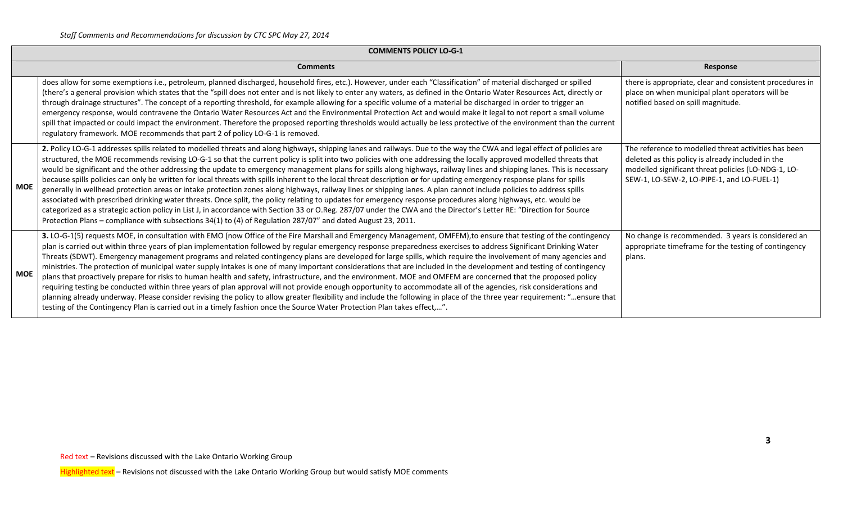| <b>COMMENTS POLICY LO-G-1</b>                                                                                                                                                                                                                                                                                                                                                                                                                                                                                                                                                                                                                                                                                                                                                                                                                                                                                                                                                                                                                                                                                                                                                                                                                                                                                                                   |                                                                                                                                                                                                                |  |  |  |  |  |  |  |
|-------------------------------------------------------------------------------------------------------------------------------------------------------------------------------------------------------------------------------------------------------------------------------------------------------------------------------------------------------------------------------------------------------------------------------------------------------------------------------------------------------------------------------------------------------------------------------------------------------------------------------------------------------------------------------------------------------------------------------------------------------------------------------------------------------------------------------------------------------------------------------------------------------------------------------------------------------------------------------------------------------------------------------------------------------------------------------------------------------------------------------------------------------------------------------------------------------------------------------------------------------------------------------------------------------------------------------------------------|----------------------------------------------------------------------------------------------------------------------------------------------------------------------------------------------------------------|--|--|--|--|--|--|--|
| <b>Comments</b>                                                                                                                                                                                                                                                                                                                                                                                                                                                                                                                                                                                                                                                                                                                                                                                                                                                                                                                                                                                                                                                                                                                                                                                                                                                                                                                                 | Response                                                                                                                                                                                                       |  |  |  |  |  |  |  |
| does allow for some exemptions i.e., petroleum, planned discharged, household fires, etc.). However, under each "Classification" of material discharged or spilled<br>(there's a general provision which states that the "spill does not enter and is not likely to enter any waters, as defined in the Ontario Water Resources Act, directly or<br>through drainage structures". The concept of a reporting threshold, for example allowing for a specific volume of a material be discharged in order to trigger an<br>emergency response, would contravene the Ontario Water Resources Act and the Environmental Protection Act and would make it legal to not report a small volume<br>spill that impacted or could impact the environment. Therefore the proposed reporting thresholds would actually be less protective of the environment than the current<br>regulatory framework. MOE recommends that part 2 of policy LO-G-1 is removed.                                                                                                                                                                                                                                                                                                                                                                                              | there is appropriate, clear and consistent procedures in<br>place on when municipal plant operators will be<br>notified based on spill magnitude.                                                              |  |  |  |  |  |  |  |
| 2. Policy LO-G-1 addresses spills related to modelled threats and along highways, shipping lanes and railways. Due to the way the CWA and legal effect of policies are<br>structured, the MOE recommends revising LO-G-1 so that the current policy is split into two policies with one addressing the locally approved modelled threats that<br>would be significant and the other addressing the update to emergency management plans for spills along highways, railway lines and shipping lanes. This is necessary<br>because spills policies can only be written for local threats with spills inherent to the local threat description or for updating emergency response plans for spills<br><b>MOE</b><br>generally in wellhead protection areas or intake protection zones along highways, railway lines or shipping lanes. A plan cannot include policies to address spills<br>associated with prescribed drinking water threats. Once split, the policy relating to updates for emergency response procedures along highways, etc. would be<br>categorized as a strategic action policy in List J, in accordance with Section 33 or O.Reg. 287/07 under the CWA and the Director's Letter RE: "Direction for Source<br>Protection Plans - compliance with subsections 34(1) to (4) of Regulation 287/07" and dated August 23, 2011.  | The reference to modelled threat activities has been<br>deleted as this policy is already included in the<br>modelled significant threat policies (LO-NDG-1, LO-<br>SEW-1, LO-SEW-2, LO-PIPE-1, and LO-FUEL-1) |  |  |  |  |  |  |  |
| 3. LO-G-1(5) requests MOE, in consultation with EMO (now Office of the Fire Marshall and Emergency Management, OMFEM), to ensure that testing of the contingency<br>plan is carried out within three years of plan implementation followed by regular emergency response preparedness exercises to address Significant Drinking Water<br>Threats (SDWT). Emergency management programs and related contingency plans are developed for large spills, which require the involvement of many agencies and<br>ministries. The protection of municipal water supply intakes is one of many important considerations that are included in the development and testing of contingency<br><b>MOE</b><br>plans that proactively prepare for risks to human health and safety, infrastructure, and the environment. MOE and OMFEM are concerned that the proposed policy<br>requiring testing be conducted within three years of plan approval will not provide enough opportunity to accommodate all of the agencies, risk considerations and<br>planning already underway. Please consider revising the policy to allow greater flexibility and include the following in place of the three year requirement: "ensure that<br>testing of the Contingency Plan is carried out in a timely fashion once the Source Water Protection Plan takes effect,". | No change is recommended. 3 years is considered an<br>appropriate timeframe for the testing of contingency<br>plans.                                                                                           |  |  |  |  |  |  |  |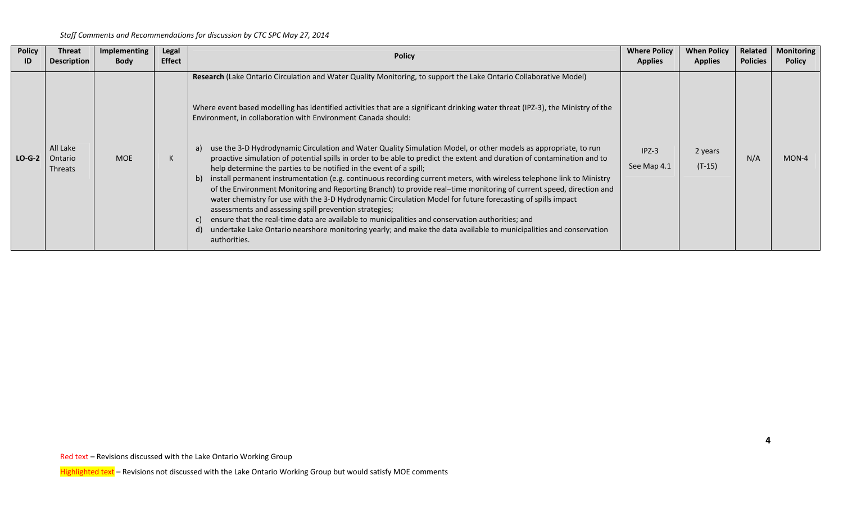| <b>Policy</b> | Threat<br><b>Description</b>          | Implementing<br><b>Body</b> | Legal<br><b>Effect</b> | <b>Policy</b>                                                                                                                                                                                                                                                                                                                                                                                                                                                                                                                                                                                                                                                                                                                                                                                                                                                                                                                                                                                                                                                                                                                                                                                                                                                                                                               | <b>Where Policy</b><br><b>Applies</b> | <b>When Policy</b><br><b>Applies</b> | Related<br><b>Policies</b> | <b>Monitoring</b><br><b>Policy</b> |
|---------------|---------------------------------------|-----------------------------|------------------------|-----------------------------------------------------------------------------------------------------------------------------------------------------------------------------------------------------------------------------------------------------------------------------------------------------------------------------------------------------------------------------------------------------------------------------------------------------------------------------------------------------------------------------------------------------------------------------------------------------------------------------------------------------------------------------------------------------------------------------------------------------------------------------------------------------------------------------------------------------------------------------------------------------------------------------------------------------------------------------------------------------------------------------------------------------------------------------------------------------------------------------------------------------------------------------------------------------------------------------------------------------------------------------------------------------------------------------|---------------------------------------|--------------------------------------|----------------------------|------------------------------------|
| $LO-G-2$      | All Lake<br>Ontario<br><b>Threats</b> | <b>MOE</b>                  | N.                     | Research (Lake Ontario Circulation and Water Quality Monitoring, to support the Lake Ontario Collaborative Model)<br>Where event based modelling has identified activities that are a significant drinking water threat (IPZ-3), the Ministry of the<br>Environment, in collaboration with Environment Canada should:<br>use the 3-D Hydrodynamic Circulation and Water Quality Simulation Model, or other models as appropriate, to run<br>a)<br>proactive simulation of potential spills in order to be able to predict the extent and duration of contamination and to<br>help determine the parties to be notified in the event of a spill;<br>b) install permanent instrumentation (e.g. continuous recording current meters, with wireless telephone link to Ministry<br>of the Environment Monitoring and Reporting Branch) to provide real-time monitoring of current speed, direction and<br>water chemistry for use with the 3-D Hydrodynamic Circulation Model for future forecasting of spills impact<br>assessments and assessing spill prevention strategies;<br>ensure that the real-time data are available to municipalities and conservation authorities; and<br>undertake Lake Ontario nearshore monitoring yearly; and make the data available to municipalities and conservation<br>d)<br>authorities. | $IPZ-3$<br>See Map 4.1                | 2 years<br>$(T-15)$                  | N/A                        | $MON-4$                            |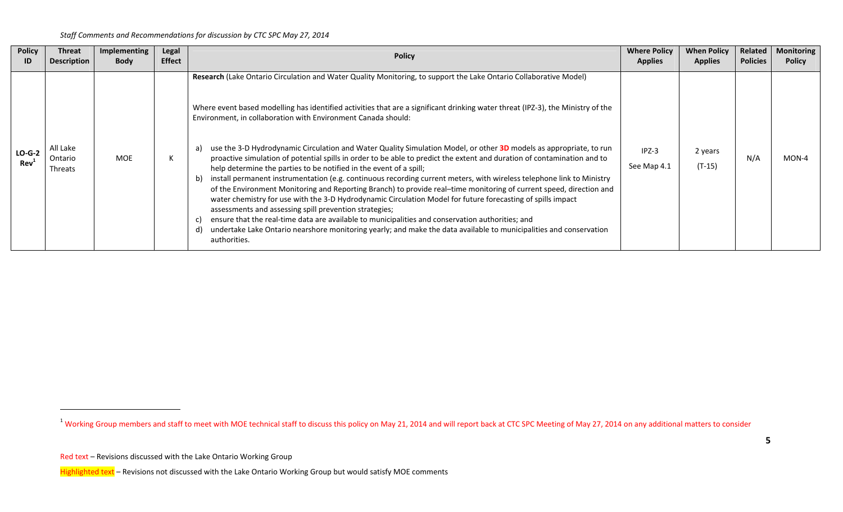| <b>Policy</b>          | <b>Threat</b>                         | Implementing | <b>Legal</b>  | <b>Policy</b>                                                                                                                                                                                                                                                                                                                                                                                                                                                                                                                                                                                                                                                                                                                                                                                                                                                                                                                                                                                                                                                                                                                                                                                                                                                                                                               | <b>Where Policy</b>    | <b>When Policy</b>  | Related         | <b>Monitoring</b> |
|------------------------|---------------------------------------|--------------|---------------|-----------------------------------------------------------------------------------------------------------------------------------------------------------------------------------------------------------------------------------------------------------------------------------------------------------------------------------------------------------------------------------------------------------------------------------------------------------------------------------------------------------------------------------------------------------------------------------------------------------------------------------------------------------------------------------------------------------------------------------------------------------------------------------------------------------------------------------------------------------------------------------------------------------------------------------------------------------------------------------------------------------------------------------------------------------------------------------------------------------------------------------------------------------------------------------------------------------------------------------------------------------------------------------------------------------------------------|------------------------|---------------------|-----------------|-------------------|
| ID                     | <b>Description</b>                    | <b>Body</b>  | <b>Effect</b> |                                                                                                                                                                                                                                                                                                                                                                                                                                                                                                                                                                                                                                                                                                                                                                                                                                                                                                                                                                                                                                                                                                                                                                                                                                                                                                                             | <b>Applies</b>         | <b>Applies</b>      | <b>Policies</b> | <b>Policy</b>     |
| $LO-G-2$<br><b>Rev</b> | All Lake<br>Ontario<br><b>Threats</b> | MOE          | N.            | Research (Lake Ontario Circulation and Water Quality Monitoring, to support the Lake Ontario Collaborative Model)<br>Where event based modelling has identified activities that are a significant drinking water threat (IPZ-3), the Ministry of the<br>Environment, in collaboration with Environment Canada should:<br>use the 3-D Hydrodynamic Circulation and Water Quality Simulation Model, or other 3D models as appropriate, to run<br>a)<br>proactive simulation of potential spills in order to be able to predict the extent and duration of contamination and to<br>help determine the parties to be notified in the event of a spill;<br>install permanent instrumentation (e.g. continuous recording current meters, with wireless telephone link to Ministry<br>b)<br>of the Environment Monitoring and Reporting Branch) to provide real-time monitoring of current speed, direction and<br>water chemistry for use with the 3-D Hydrodynamic Circulation Model for future forecasting of spills impact<br>assessments and assessing spill prevention strategies;<br>ensure that the real-time data are available to municipalities and conservation authorities; and<br>undertake Lake Ontario nearshore monitoring yearly; and make the data available to municipalities and conservation<br>authorities. | $IPZ-3$<br>See Map 4.1 | 2 years<br>$(T-15)$ | N/A             | MON-4             |

<sup>&</sup>lt;sup>1</sup> Working Group members and staff to meet with MOE technical staff to discuss this policy on May 21, 2014 and will report back at CTC SPC Meeting of May 27, 2014 on any additional matters to consider

Red text – Revisions discussed with the Lake Ontario Working Group

Highlighted text – Revisions not discussed with the Lake Ontario Working Group but would satisfy MOE comments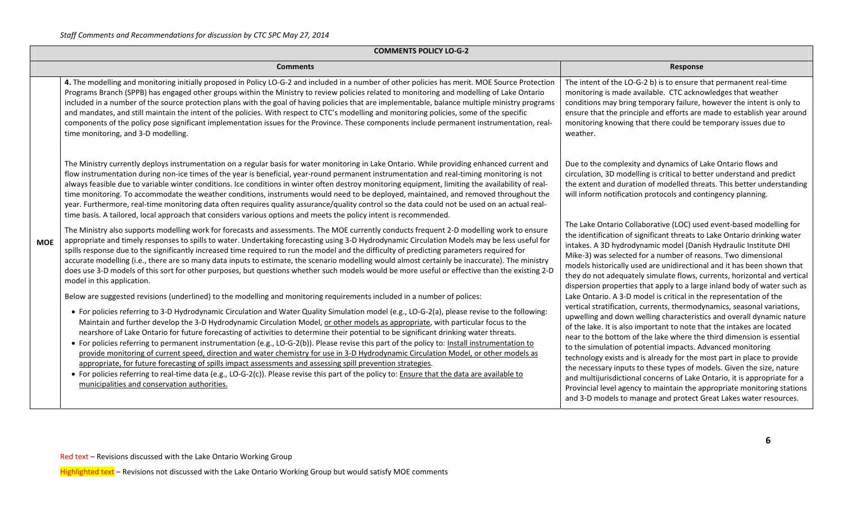| <b>COMMENTS POLICY LO-G-2</b> |  |
|-------------------------------|--|
|-------------------------------|--|

|            | <b>Comments</b>                                                                                                                                                                                                                                                                                                                                                                                                                                                                                                                                                                                                                                                                                                                                                                                                                                                                                                                                                                                                                                                                                                                                                  | Response                                                                                                                                                                                                                                                                                                                                                                                                                                                                                                                                                                                                                                                                                                                                                                                                                 |  |  |  |  |  |  |  |
|------------|------------------------------------------------------------------------------------------------------------------------------------------------------------------------------------------------------------------------------------------------------------------------------------------------------------------------------------------------------------------------------------------------------------------------------------------------------------------------------------------------------------------------------------------------------------------------------------------------------------------------------------------------------------------------------------------------------------------------------------------------------------------------------------------------------------------------------------------------------------------------------------------------------------------------------------------------------------------------------------------------------------------------------------------------------------------------------------------------------------------------------------------------------------------|--------------------------------------------------------------------------------------------------------------------------------------------------------------------------------------------------------------------------------------------------------------------------------------------------------------------------------------------------------------------------------------------------------------------------------------------------------------------------------------------------------------------------------------------------------------------------------------------------------------------------------------------------------------------------------------------------------------------------------------------------------------------------------------------------------------------------|--|--|--|--|--|--|--|
| <b>MOE</b> | 4. The modelling and monitoring initially proposed in Policy LO-G-2 and included in a number of other policies has merit. MOE Source Protection<br>Programs Branch (SPPB) has engaged other groups within the Ministry to review policies related to monitoring and modelling of Lake Ontario<br>included in a number of the source protection plans with the goal of having policies that are implementable, balance multiple ministry programs<br>and mandates, and still maintain the intent of the policies. With respect to CTC's modelling and monitoring policies, some of the specific<br>components of the policy pose significant implementation issues for the Province. These components include permanent instrumentation, real-<br>time monitoring, and 3-D modelling.                                                                                                                                                                                                                                                                                                                                                                             | The intent of the LO-G-2 b) is to ensure that permanent real-time<br>monitoring is made available. CTC acknowledges that weather<br>conditions may bring temporary failure, however the intent is only to<br>ensure that the principle and efforts are made to establish year around<br>monitoring knowing that there could be temporary issues due to<br>weather.                                                                                                                                                                                                                                                                                                                                                                                                                                                       |  |  |  |  |  |  |  |
|            | The Ministry currently deploys instrumentation on a regular basis for water monitoring in Lake Ontario. While providing enhanced current and<br>flow instrumentation during non-ice times of the year is beneficial, year-round permanent instrumentation and real-timing monitoring is not<br>always feasible due to variable winter conditions. Ice conditions in winter often destroy monitoring equipment, limiting the availability of real-<br>time monitoring. To accommodate the weather conditions, instruments would need to be deployed, maintained, and removed throughout the<br>year. Furthermore, real-time monitoring data often requires quality assurance/quality control so the data could not be used on an actual real-<br>time basis. A tailored, local approach that considers various options and meets the policy intent is recommended.                                                                                                                                                                                                                                                                                                | Due to the complexity and dynamics of Lake Ontario flows and<br>circulation, 3D modelling is critical to better understand and predict<br>the extent and duration of modelled threats. This better understanding<br>will inform notification protocols and contingency planning.                                                                                                                                                                                                                                                                                                                                                                                                                                                                                                                                         |  |  |  |  |  |  |  |
|            | The Ministry also supports modelling work for forecasts and assessments. The MOE currently conducts frequent 2-D modelling work to ensure<br>appropriate and timely responses to spills to water. Undertaking forecasting using 3-D Hydrodynamic Circulation Models may be less useful for<br>spills response due to the significantly increased time required to run the model and the difficulty of predicting parameters required for<br>accurate modelling (i.e., there are so many data inputs to estimate, the scenario modelling would almost certainly be inaccurate). The ministry<br>does use 3-D models of this sort for other purposes, but questions whether such models would be more useful or effective than the existing 2-D<br>model in this application.                                                                                                                                                                                                                                                                                                                                                                                      | The Lake Ontario Collaborative (LOC) used event-based modelling for<br>the identification of significant threats to Lake Ontario drinking water<br>intakes. A 3D hydrodynamic model (Danish Hydraulic Institute DHI<br>Mike-3) was selected for a number of reasons. Two dimensional<br>models historically used are unidirectional and it has been shown that<br>they do not adequately simulate flows, currents, horizontal and vertical<br>dispersion properties that apply to a large inland body of water such as                                                                                                                                                                                                                                                                                                   |  |  |  |  |  |  |  |
|            | Below are suggested revisions (underlined) to the modelling and monitoring requirements included in a number of polices:<br>• For policies referring to 3-D Hydrodynamic Circulation and Water Quality Simulation model (e.g., LO-G-2(a), please revise to the following:<br>Maintain and further develop the 3-D Hydrodynamic Circulation Model, or other models as appropriate, with particular focus to the<br>nearshore of Lake Ontario for future forecasting of activities to determine their potential to be significant drinking water threats.<br>• For policies referring to permanent instrumentation (e.g., LO-G-2(b)). Please revise this part of the policy to: Install instrumentation to<br>provide monitoring of current speed, direction and water chemistry for use in 3-D Hydrodynamic Circulation Model, or other models as<br>appropriate, for future forecasting of spills impact assessments and assessing spill prevention strategies.<br>• For policies referring to real-time data (e.g., LO-G-2(c)). Please revise this part of the policy to: Ensure that the data are available to<br>municipalities and conservation authorities. | Lake Ontario. A 3-D model is critical in the representation of the<br>vertical stratification, currents, thermodynamics, seasonal variations,<br>upwelling and down welling characteristics and overall dynamic nature<br>of the lake. It is also important to note that the intakes are located<br>near to the bottom of the lake where the third dimension is essential<br>to the simulation of potential impacts. Advanced monitoring<br>technology exists and is already for the most part in place to provide<br>the necessary inputs to these types of models. Given the size, nature<br>and multijurisdictional concerns of Lake Ontario, it is appropriate for a<br>Provincial level agency to maintain the appropriate monitoring stations<br>and 3-D models to manage and protect Great Lakes water resources. |  |  |  |  |  |  |  |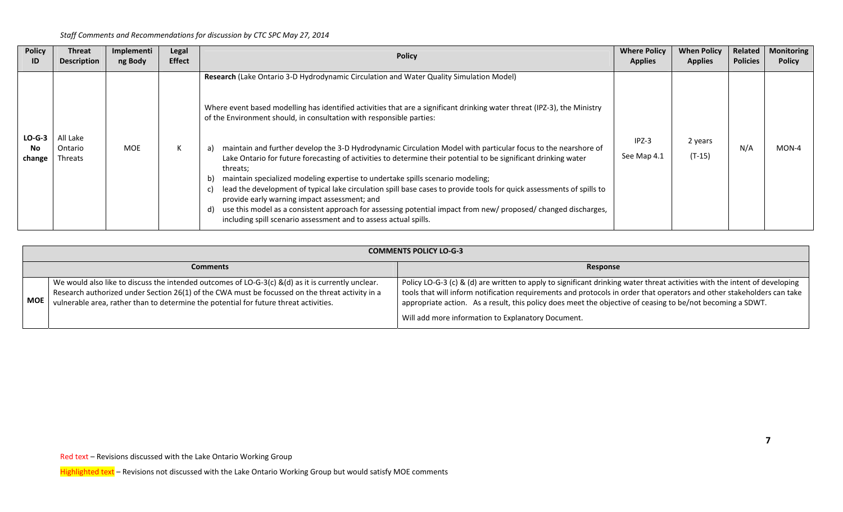| <b>Policy</b>            | Threat                         | Implementi | Legal         | <b>Policy</b>                                                                                                                                                                                                                                                                                                                                                                                                                                                                                                                                                                                                                                                                                                                                                                                                                                                                                                                                                                                                        | <b>Where Policy</b>    | <b>When Policy</b>  | Related         | <b>Monitoring</b> |
|--------------------------|--------------------------------|------------|---------------|----------------------------------------------------------------------------------------------------------------------------------------------------------------------------------------------------------------------------------------------------------------------------------------------------------------------------------------------------------------------------------------------------------------------------------------------------------------------------------------------------------------------------------------------------------------------------------------------------------------------------------------------------------------------------------------------------------------------------------------------------------------------------------------------------------------------------------------------------------------------------------------------------------------------------------------------------------------------------------------------------------------------|------------------------|---------------------|-----------------|-------------------|
| ID                       | <b>Description</b>             | ng Body    | <b>Effect</b> |                                                                                                                                                                                                                                                                                                                                                                                                                                                                                                                                                                                                                                                                                                                                                                                                                                                                                                                                                                                                                      | <b>Applies</b>         | <b>Applies</b>      | <b>Policies</b> | <b>Policy</b>     |
| $LO-G-3$<br>No<br>change | All Lake<br>Ontario<br>Threats | <b>MOE</b> | К             | Research (Lake Ontario 3-D Hydrodynamic Circulation and Water Quality Simulation Model)<br>Where event based modelling has identified activities that are a significant drinking water threat (IPZ-3), the Ministry<br>of the Environment should, in consultation with responsible parties:<br>maintain and further develop the 3-D Hydrodynamic Circulation Model with particular focus to the nearshore of<br>a)<br>Lake Ontario for future forecasting of activities to determine their potential to be significant drinking water<br>threats;<br>maintain specialized modeling expertise to undertake spills scenario modeling;<br>b)<br>lead the development of typical lake circulation spill base cases to provide tools for quick assessments of spills to<br>c)<br>provide early warning impact assessment; and<br>use this model as a consistent approach for assessing potential impact from new/ proposed/ changed discharges,<br>d)<br>including spill scenario assessment and to assess actual spills. | $IPZ-3$<br>See Map 4.1 | 2 years<br>$(T-15)$ | N/A             | MON-4             |

|     | <b>COMMENTS POLICY LO-G-3</b>                                                                                                                                                                                                                                                                 |                                                                                                                                                                                                                                                                                                                                                                                                                          |  |  |  |  |  |  |
|-----|-----------------------------------------------------------------------------------------------------------------------------------------------------------------------------------------------------------------------------------------------------------------------------------------------|--------------------------------------------------------------------------------------------------------------------------------------------------------------------------------------------------------------------------------------------------------------------------------------------------------------------------------------------------------------------------------------------------------------------------|--|--|--|--|--|--|
|     | <b>Comments</b>                                                                                                                                                                                                                                                                               | Response                                                                                                                                                                                                                                                                                                                                                                                                                 |  |  |  |  |  |  |
| MOE | We would also like to discuss the intended outcomes of LO-G-3(c) &(d) as it is currently unclear.<br>Research authorized under Section 26(1) of the CWA must be focussed on the threat activity in a<br>vulnerable area, rather than to determine the potential for future threat activities. | Policy LO-G-3 (c) & (d) are written to apply to significant drinking water threat activities with the intent of developing<br>tools that will inform notification requirements and protocols in order that operators and other stakeholders can take<br>appropriate action. As a result, this policy does meet the objective of ceasing to be/not becoming a SDWT.<br>Will add more information to Explanatory Document. |  |  |  |  |  |  |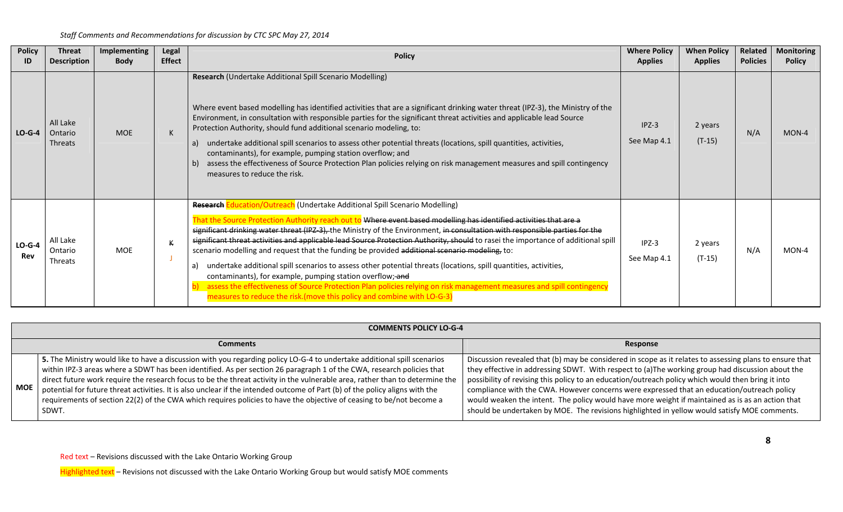| <b>Policy</b><br>ID | <b>Threat</b><br><b>Description</b>                                                                                                                                                                                                                                                                                                                                                                                                                                                                                                                                                                                                                                                                                                                                                                                                                                                                                                                                                                                     | Implementing<br><b>Body</b> | Legal<br><b>Effect</b> | <b>Policy</b>                                                                                                                                                                                                                                                                                                                                                                                                                                                                                                                                                                                                                                                                                                                                | <b>Where Policy</b><br><b>Applies</b> | <b>When Policy</b><br><b>Applies</b> | <b>Related</b><br><b>Policies</b> | <b>Monitoring</b><br><b>Policy</b> |
|---------------------|-------------------------------------------------------------------------------------------------------------------------------------------------------------------------------------------------------------------------------------------------------------------------------------------------------------------------------------------------------------------------------------------------------------------------------------------------------------------------------------------------------------------------------------------------------------------------------------------------------------------------------------------------------------------------------------------------------------------------------------------------------------------------------------------------------------------------------------------------------------------------------------------------------------------------------------------------------------------------------------------------------------------------|-----------------------------|------------------------|----------------------------------------------------------------------------------------------------------------------------------------------------------------------------------------------------------------------------------------------------------------------------------------------------------------------------------------------------------------------------------------------------------------------------------------------------------------------------------------------------------------------------------------------------------------------------------------------------------------------------------------------------------------------------------------------------------------------------------------------|---------------------------------------|--------------------------------------|-----------------------------------|------------------------------------|
| $LO-G-4$            | All Lake<br>Ontario<br>Threats                                                                                                                                                                                                                                                                                                                                                                                                                                                                                                                                                                                                                                                                                                                                                                                                                                                                                                                                                                                          | <b>MOE</b>                  | K                      | Research (Undertake Additional Spill Scenario Modelling)<br>Where event based modelling has identified activities that are a significant drinking water threat (IPZ-3), the Ministry of the<br>Environment, in consultation with responsible parties for the significant threat activities and applicable lead Source<br>Protection Authority, should fund additional scenario modeling, to:<br>undertake additional spill scenarios to assess other potential threats (locations, spill quantities, activities,<br>a)<br>contaminants), for example, pumping station overflow; and<br>assess the effectiveness of Source Protection Plan policies relying on risk management measures and spill contingency<br>measures to reduce the risk. | $IPZ-3$<br>See Map 4.1                | 2 years<br>$(T-15)$                  | N/A                               | $MON-4$                            |
| $LO-G-4$<br>Rev     | <b>Research Education/Outreach</b> (Undertake Additional Spill Scenario Modelling)<br>That the Source Protection Authority reach out to Where event based modelling has identified activities that are a<br>significant drinking water threat (IPZ-3), the Ministry of the Environment, in consultation with responsible parties for the<br>significant threat activities and applicable lead Source Protection Authority, should to rasei the importance of additional spill<br>All Lake<br>К<br>scenario modelling and request that the funding be provided additional scenario modeling, to:<br>MOE<br>Ontario<br>Threats<br>undertake additional spill scenarios to assess other potential threats (locations, spill quantities, activities,<br>a)<br>contaminants), for example, pumping station overflow; and<br>assess the effectiveness of Source Protection Plan policies relying on risk management measures and spill contingency<br>measures to reduce the risk. (move this policy and combine with LO-G-3) |                             | $IPZ-3$<br>See Map 4.1 | 2 years<br>$(T-15)$                                                                                                                                                                                                                                                                                                                                                                                                                                                                                                                                                                                                                                                                                                                          | N/A                                   | MON-4                                |                                   |                                    |

|       | <b>COMMENTS POLICY LO-G-4</b>                                                                                                                                                                                                                                                                                                                                                                                                                                                                                                                                                                                                                      |                                                                                                                                                                                                                                                                                                                                                                                                                                                                                                                                                                                                                     |  |  |  |  |  |  |  |
|-------|----------------------------------------------------------------------------------------------------------------------------------------------------------------------------------------------------------------------------------------------------------------------------------------------------------------------------------------------------------------------------------------------------------------------------------------------------------------------------------------------------------------------------------------------------------------------------------------------------------------------------------------------------|---------------------------------------------------------------------------------------------------------------------------------------------------------------------------------------------------------------------------------------------------------------------------------------------------------------------------------------------------------------------------------------------------------------------------------------------------------------------------------------------------------------------------------------------------------------------------------------------------------------------|--|--|--|--|--|--|--|
|       | <b>Comments</b>                                                                                                                                                                                                                                                                                                                                                                                                                                                                                                                                                                                                                                    | Response                                                                                                                                                                                                                                                                                                                                                                                                                                                                                                                                                                                                            |  |  |  |  |  |  |  |
| l MOE | 5. The Ministry would like to have a discussion with you regarding policy LO-G-4 to undertake additional spill scenarios<br>within IPZ-3 areas where a SDWT has been identified. As per section 26 paragraph 1 of the CWA, research policies that<br>direct future work require the research focus to be the threat activity in the vulnerable area, rather than to determine the<br>potential for future threat activities. It is also unclear if the intended outcome of Part (b) of the policy aligns with the<br>requirements of section 22(2) of the CWA which requires policies to have the objective of ceasing to be/not become a<br>SDWT. | Discussion revealed that (b) may be considered in scope as it relates to assessing plans to ensure that<br>they effective in addressing SDWT. With respect to (a)The working group had discussion about the<br>possibility of revising this policy to an education/outreach policy which would then bring it into<br>compliance with the CWA. However concerns were expressed that an education/outreach policy<br>would weaken the intent. The policy would have more weight if maintained as is as an action that<br>should be undertaken by MOE. The revisions highlighted in yellow would satisfy MOE comments. |  |  |  |  |  |  |  |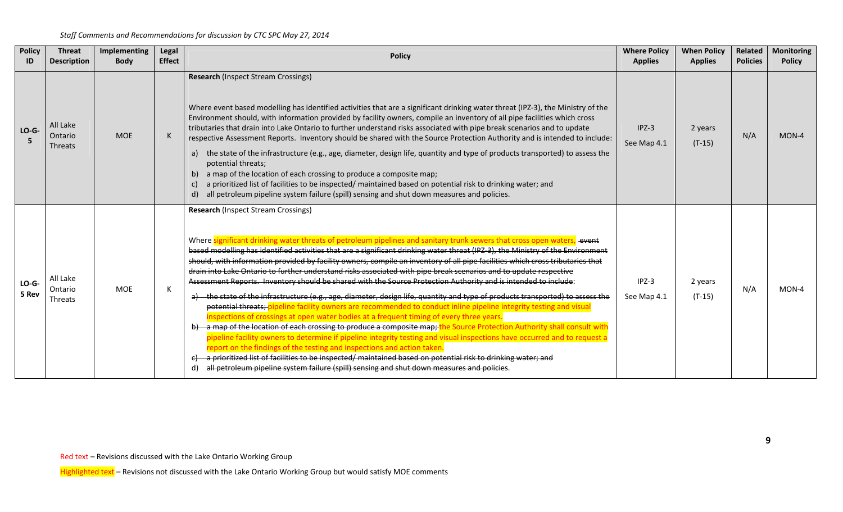| <b>Policy</b><br>ID | <b>Threat</b><br><b>Description</b>   | Implementing<br><b>Body</b> | Legal<br><b>Effect</b> | <b>Policy</b>                                                                                                                                                                                                                                                                                                                                                                                                                                                                                                                                                                                                                                                                                                                                                                                                                                                                                                                                                                                                                                                                                                                                                                                                                                                                                                                                                                                                                                                                                                                                                                               | <b>Where Policy</b><br><b>Applies</b> | <b>When Policy</b><br><b>Applies</b> | Related<br><b>Policies</b> | <b>Monitoring</b><br><b>Policy</b> |
|---------------------|---------------------------------------|-----------------------------|------------------------|---------------------------------------------------------------------------------------------------------------------------------------------------------------------------------------------------------------------------------------------------------------------------------------------------------------------------------------------------------------------------------------------------------------------------------------------------------------------------------------------------------------------------------------------------------------------------------------------------------------------------------------------------------------------------------------------------------------------------------------------------------------------------------------------------------------------------------------------------------------------------------------------------------------------------------------------------------------------------------------------------------------------------------------------------------------------------------------------------------------------------------------------------------------------------------------------------------------------------------------------------------------------------------------------------------------------------------------------------------------------------------------------------------------------------------------------------------------------------------------------------------------------------------------------------------------------------------------------|---------------------------------------|--------------------------------------|----------------------------|------------------------------------|
| $LO-G-$             | All Lake<br>Ontario<br><b>Threats</b> | <b>MOE</b>                  | K                      | <b>Research (Inspect Stream Crossings)</b><br>Where event based modelling has identified activities that are a significant drinking water threat (IPZ-3), the Ministry of the<br>Environment should, with information provided by facility owners, compile an inventory of all pipe facilities which cross<br>tributaries that drain into Lake Ontario to further understand risks associated with pipe break scenarios and to update<br>respective Assessment Reports. Inventory should be shared with the Source Protection Authority and is intended to include:<br>a) the state of the infrastructure (e.g., age, diameter, design life, quantity and type of products transported) to assess the<br>potential threats;<br>a map of the location of each crossing to produce a composite map;<br>$\mathsf{b}$<br>a prioritized list of facilities to be inspected/ maintained based on potential risk to drinking water; and<br>$\mathsf{C}$<br>all petroleum pipeline system failure (spill) sensing and shut down measures and policies.<br>d)                                                                                                                                                                                                                                                                                                                                                                                                                                                                                                                                        | $IPZ-3$<br>See Map 4.1                | 2 years<br>$(T-15)$                  | N/A                        | $MON-4$                            |
| $LO-G-$<br>5 Rev    | All Lake<br>Ontario<br>Threats        | <b>MOE</b>                  | К                      | <b>Research (Inspect Stream Crossings)</b><br>Where significant drinking water threats of petroleum pipelines and sanitary trunk sewers that cross open waters, event<br>based modelling has identified activities that are a significant drinking water threat (IPZ-3), the Ministry of the Environment<br>should, with information provided by facility owners, compile an inventory of all pipe facilities which cross tributaries that<br>drain into Lake Ontario to further understand risks associated with pipe break scenarios and to update respective<br>Assessment Reports. Inventory should be shared with the Source Protection Authority and is intended to include:<br>a) the state of the infrastructure (e.g., age, diameter, design life, quantity and type of products transported) to assess the<br>potential threats; pipeline facility owners are recommended to conduct inline pipeline integrity testing and visual<br>inspections of crossings at open water bodies at a frequent timing of every three years.<br>b) a map of the location of each crossing to produce a composite map; the Source Protection Authority shall consult with<br>pipeline facility owners to determine if pipeline integrity testing and visual inspections have occurred and to request a<br>report on the findings of the testing and inspections and action taken.<br>c) a prioritized list of facilities to be inspected/ maintained based on potential risk to drinking water; and<br>all petroleum pipeline system failure (spill) sensing and shut down measures and policies. | $IPZ-3$<br>See Map 4.1                | 2 years<br>$(T-15)$                  | N/A                        | MON-4                              |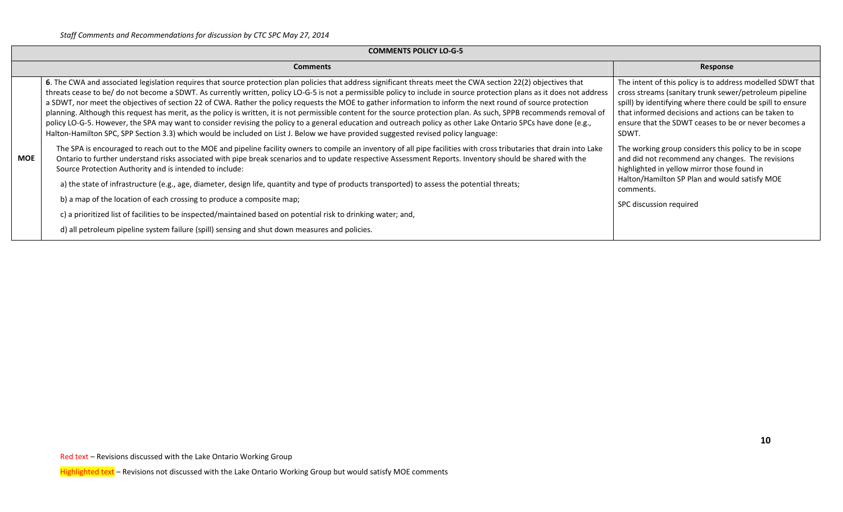|     | <b>COMMENTS POLICY LO-G-5</b>                                                                                                                                                                                                                                                                                                                                                                                                                                                                                                                                                                                                                                                                                                                                                                                                                                                                                                                                                                 |                                                                                                                                                                                                                                                                                                            |  |  |  |  |  |  |
|-----|-----------------------------------------------------------------------------------------------------------------------------------------------------------------------------------------------------------------------------------------------------------------------------------------------------------------------------------------------------------------------------------------------------------------------------------------------------------------------------------------------------------------------------------------------------------------------------------------------------------------------------------------------------------------------------------------------------------------------------------------------------------------------------------------------------------------------------------------------------------------------------------------------------------------------------------------------------------------------------------------------|------------------------------------------------------------------------------------------------------------------------------------------------------------------------------------------------------------------------------------------------------------------------------------------------------------|--|--|--|--|--|--|
|     | <b>Comments</b>                                                                                                                                                                                                                                                                                                                                                                                                                                                                                                                                                                                                                                                                                                                                                                                                                                                                                                                                                                               | Response                                                                                                                                                                                                                                                                                                   |  |  |  |  |  |  |
|     | 6. The CWA and associated legislation requires that source protection plan policies that address significant threats meet the CWA section 22(2) objectives that<br>threats cease to be/ do not become a SDWT. As currently written, policy LO-G-5 is not a permissible policy to include in source protection plans as it does not address<br>a SDWT, nor meet the objectives of section 22 of CWA. Rather the policy requests the MOE to gather information to inform the next round of source protection<br>planning. Although this request has merit, as the policy is written, it is not permissible content for the source protection plan. As such, SPPB recommends removal of<br>policy LO-G-5. However, the SPA may want to consider revising the policy to a general education and outreach policy as other Lake Ontario SPCs have done (e.g.,<br>Halton-Hamilton SPC, SPP Section 3.3) which would be included on List J. Below we have provided suggested revised policy language: | The intent of this policy is to address modelled SDWT that<br>cross streams (sanitary trunk sewer/petroleum pipeline<br>spill) by identifying where there could be spill to ensure<br>that informed decisions and actions can be taken to<br>ensure that the SDWT ceases to be or never becomes a<br>SDWT. |  |  |  |  |  |  |
| MOE | The SPA is encouraged to reach out to the MOE and pipeline facility owners to compile an inventory of all pipe facilities with cross tributaries that drain into Lake<br>Ontario to further understand risks associated with pipe break scenarios and to update respective Assessment Reports. Inventory should be shared with the<br>Source Protection Authority and is intended to include:                                                                                                                                                                                                                                                                                                                                                                                                                                                                                                                                                                                                 | The working group considers this policy to be in scope<br>and did not recommend any changes. The revisions<br>highlighted in yellow mirror those found in                                                                                                                                                  |  |  |  |  |  |  |
|     | a) the state of infrastructure (e.g., age, diameter, design life, quantity and type of products transported) to assess the potential threats;                                                                                                                                                                                                                                                                                                                                                                                                                                                                                                                                                                                                                                                                                                                                                                                                                                                 | Halton/Hamilton SP Plan and would satisfy MOE<br>comments.                                                                                                                                                                                                                                                 |  |  |  |  |  |  |
|     | b) a map of the location of each crossing to produce a composite map;                                                                                                                                                                                                                                                                                                                                                                                                                                                                                                                                                                                                                                                                                                                                                                                                                                                                                                                         | SPC discussion required                                                                                                                                                                                                                                                                                    |  |  |  |  |  |  |
|     | c) a prioritized list of facilities to be inspected/maintained based on potential risk to drinking water; and,                                                                                                                                                                                                                                                                                                                                                                                                                                                                                                                                                                                                                                                                                                                                                                                                                                                                                |                                                                                                                                                                                                                                                                                                            |  |  |  |  |  |  |
|     | d) all petroleum pipeline system failure (spill) sensing and shut down measures and policies.                                                                                                                                                                                                                                                                                                                                                                                                                                                                                                                                                                                                                                                                                                                                                                                                                                                                                                 |                                                                                                                                                                                                                                                                                                            |  |  |  |  |  |  |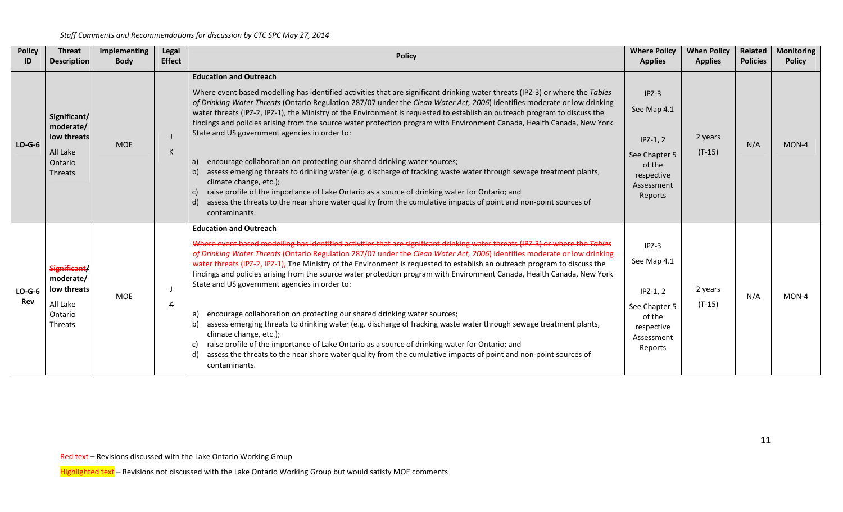| <b>Policy</b><br>ID | <b>Threat</b><br><b>Description</b>                                        | Implementing<br><b>Body</b> | Legal<br><b>Effect</b> | <b>Policy</b>                                                                                                                                                                                                                                                                                                                                                                                                                                                                                                                                                                                                                                                                                                                                                                                                                                                                                                                                                                                                                                                                                    | <b>Where Policy</b><br><b>Applies</b>                                                                  | <b>When Policy</b><br><b>Applies</b> | Related<br><b>Policies</b> | <b>Monitoring</b><br><b>Policy</b> |
|---------------------|----------------------------------------------------------------------------|-----------------------------|------------------------|--------------------------------------------------------------------------------------------------------------------------------------------------------------------------------------------------------------------------------------------------------------------------------------------------------------------------------------------------------------------------------------------------------------------------------------------------------------------------------------------------------------------------------------------------------------------------------------------------------------------------------------------------------------------------------------------------------------------------------------------------------------------------------------------------------------------------------------------------------------------------------------------------------------------------------------------------------------------------------------------------------------------------------------------------------------------------------------------------|--------------------------------------------------------------------------------------------------------|--------------------------------------|----------------------------|------------------------------------|
| $LO-G-6$            | Significant/<br>moderate/<br>low threats<br>All Lake<br>Ontario<br>Threats | <b>MOE</b>                  | К                      | <b>Education and Outreach</b><br>Where event based modelling has identified activities that are significant drinking water threats (IPZ-3) or where the Tables<br>of Drinking Water Threats (Ontario Regulation 287/07 under the Clean Water Act, 2006) identifies moderate or low drinking<br>water threats (IPZ-2, IPZ-1), the Ministry of the Environment is requested to establish an outreach program to discuss the<br>findings and policies arising from the source water protection program with Environment Canada, Health Canada, New York<br>State and US government agencies in order to:<br>encourage collaboration on protecting our shared drinking water sources;<br>a)<br>assess emerging threats to drinking water (e.g. discharge of fracking waste water through sewage treatment plants,<br>b)<br>climate change, etc.);<br>raise profile of the importance of Lake Ontario as a source of drinking water for Ontario; and<br>C)<br>assess the threats to the near shore water quality from the cumulative impacts of point and non-point sources of<br>d)<br>contaminants. | $IPZ-3$<br>See Map 4.1<br>$IPZ-1, 2$<br>See Chapter 5<br>of the<br>respective<br>Assessment<br>Reports | 2 years<br>$(T-15)$                  | N/A                        | $MON-4$                            |
| $LO-G-6$<br>Rev     | Significant/<br>moderate/<br>low threats<br>All Lake<br>Ontario<br>Threats | <b>MOE</b>                  | К                      | <b>Education and Outreach</b><br>Where event based modelling has identified activities that are significant drinking water threats (IPZ-3) or where the Tables<br>of Drinking Water Threats (Ontario Regulation 287/07 under the Clean Water Act, 2006) identifies moderate or low drinking<br>water threats (IPZ-2, IPZ-1), The Ministry of the Environment is requested to establish an outreach program to discuss the<br>findings and policies arising from the source water protection program with Environment Canada, Health Canada, New York<br>State and US government agencies in order to:<br>encourage collaboration on protecting our shared drinking water sources;<br>a)<br>assess emerging threats to drinking water (e.g. discharge of fracking waste water through sewage treatment plants,<br>b)<br>climate change, etc.);<br>raise profile of the importance of Lake Ontario as a source of drinking water for Ontario; and<br>assess the threats to the near shore water quality from the cumulative impacts of point and non-point sources of<br>d)<br>contaminants.       | $IPZ-3$<br>See Map 4.1<br>$IPZ-1, 2$<br>See Chapter 5<br>of the<br>respective<br>Assessment<br>Reports | 2 years<br>$(T-15)$                  | N/A                        | MON-4                              |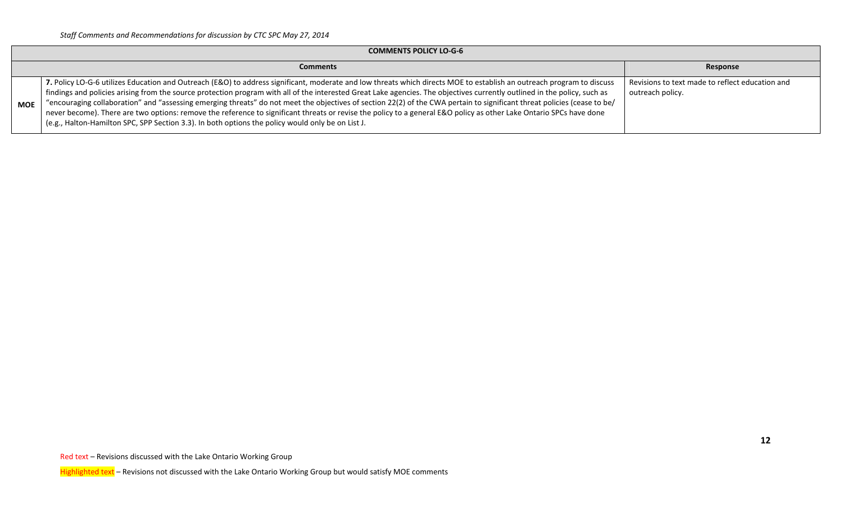|            | <b>COMMENTS POLICY LO-G-6</b>                                                                                                                                                                                                                                                                                                                                                                                                                                                                                                                                                                                                                                                                                                                                                                              |                                                                     |  |  |  |  |  |  |
|------------|------------------------------------------------------------------------------------------------------------------------------------------------------------------------------------------------------------------------------------------------------------------------------------------------------------------------------------------------------------------------------------------------------------------------------------------------------------------------------------------------------------------------------------------------------------------------------------------------------------------------------------------------------------------------------------------------------------------------------------------------------------------------------------------------------------|---------------------------------------------------------------------|--|--|--|--|--|--|
|            | <b>Comments</b>                                                                                                                                                                                                                                                                                                                                                                                                                                                                                                                                                                                                                                                                                                                                                                                            | Response                                                            |  |  |  |  |  |  |
| <b>MOE</b> | 7. Policy LO-G-6 utilizes Education and Outreach (E&O) to address significant, moderate and low threats which directs MOE to establish an outreach program to discuss<br>findings and policies arising from the source protection program with all of the interested Great Lake agencies. The objectives currently outlined in the policy, such as<br>"encouraging collaboration" and "assessing emerging threats" do not meet the objectives of section 22(2) of the CWA pertain to significant threat policies (cease to be/<br>never become). There are two options: remove the reference to significant threats or revise the policy to a general E&O policy as other Lake Ontario SPCs have done<br>(e.g., Halton-Hamilton SPC, SPP Section 3.3). In both options the policy would only be on List J. | Revisions to text made to reflect education and<br>outreach policy. |  |  |  |  |  |  |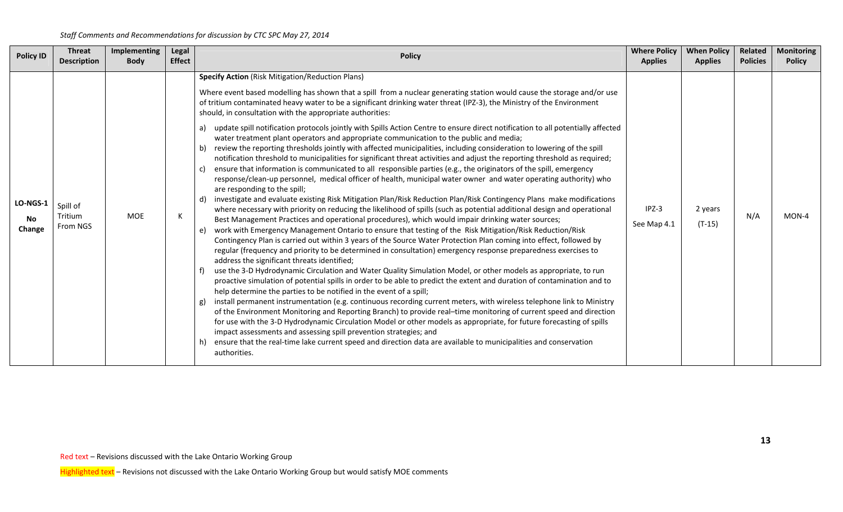| <b>Policy ID</b>                | <b>Threat</b><br><b>Description</b> | Implementing<br><b>Body</b> | Legal<br><b>Effect</b> | <b>Policy</b>                                                                                                                                                                                                                                                                                                                                                                                                                                                                                                                                                                                                                                                                                                                                                                                                                                                                                                                                                                                                                                                                                                                                                                                                                                                                                                                                                                                                                                                                                                                                                                                                                                                                                                                                                                                                                                                                                                                                                                                                                                                                                                                                                                                                                                                                                                                                                                                                                                                                                                                                                                                                                                                                                                                                                                                                                              | <b>Where Policy</b><br><b>Applies</b> | <b>When Policy</b><br><b>Applies</b> | Related<br><b>Policies</b> | <b>Monitoring</b><br><b>Policy</b> |
|---------------------------------|-------------------------------------|-----------------------------|------------------------|--------------------------------------------------------------------------------------------------------------------------------------------------------------------------------------------------------------------------------------------------------------------------------------------------------------------------------------------------------------------------------------------------------------------------------------------------------------------------------------------------------------------------------------------------------------------------------------------------------------------------------------------------------------------------------------------------------------------------------------------------------------------------------------------------------------------------------------------------------------------------------------------------------------------------------------------------------------------------------------------------------------------------------------------------------------------------------------------------------------------------------------------------------------------------------------------------------------------------------------------------------------------------------------------------------------------------------------------------------------------------------------------------------------------------------------------------------------------------------------------------------------------------------------------------------------------------------------------------------------------------------------------------------------------------------------------------------------------------------------------------------------------------------------------------------------------------------------------------------------------------------------------------------------------------------------------------------------------------------------------------------------------------------------------------------------------------------------------------------------------------------------------------------------------------------------------------------------------------------------------------------------------------------------------------------------------------------------------------------------------------------------------------------------------------------------------------------------------------------------------------------------------------------------------------------------------------------------------------------------------------------------------------------------------------------------------------------------------------------------------------------------------------------------------------------------------------------------------|---------------------------------------|--------------------------------------|----------------------------|------------------------------------|
| <b>LO-NGS-1</b><br>No<br>Change | Spill of<br>Tritium<br>From NGS     | <b>MOE</b>                  | К                      | <b>Specify Action (Risk Mitigation/Reduction Plans)</b><br>Where event based modelling has shown that a spill from a nuclear generating station would cause the storage and/or use<br>of tritium contaminated heavy water to be a significant drinking water threat (IPZ-3), the Ministry of the Environment<br>should, in consultation with the appropriate authorities:<br>update spill notification protocols jointly with Spills Action Centre to ensure direct notification to all potentially affected<br>a)<br>water treatment plant operators and appropriate communication to the public and media;<br>review the reporting thresholds jointly with affected municipalities, including consideration to lowering of the spill<br>b)<br>notification threshold to municipalities for significant threat activities and adjust the reporting threshold as required;<br>ensure that information is communicated to all responsible parties (e.g., the originators of the spill, emergency<br>c)<br>response/clean-up personnel, medical officer of health, municipal water owner and water operating authority) who<br>are responding to the spill;<br>investigate and evaluate existing Risk Mitigation Plan/Risk Reduction Plan/Risk Contingency Plans make modifications<br>d)<br>where necessary with priority on reducing the likelihood of spills (such as potential additional design and operational<br>Best Management Practices and operational procedures), which would impair drinking water sources;<br>work with Emergency Management Ontario to ensure that testing of the Risk Mitigation/Risk Reduction/Risk<br>e)<br>Contingency Plan is carried out within 3 years of the Source Water Protection Plan coming into effect, followed by<br>regular (frequency and priority to be determined in consultation) emergency response preparedness exercises to<br>address the significant threats identified;<br>use the 3-D Hydrodynamic Circulation and Water Quality Simulation Model, or other models as appropriate, to run<br>proactive simulation of potential spills in order to be able to predict the extent and duration of contamination and to<br>help determine the parties to be notified in the event of a spill;<br>install permanent instrumentation (e.g. continuous recording current meters, with wireless telephone link to Ministry<br>g)<br>of the Environment Monitoring and Reporting Branch) to provide real-time monitoring of current speed and direction<br>for use with the 3-D Hydrodynamic Circulation Model or other models as appropriate, for future forecasting of spills<br>impact assessments and assessing spill prevention strategies; and<br>ensure that the real-time lake current speed and direction data are available to municipalities and conservation<br>authorities. | $IPZ-3$<br>See Map 4.1                | 2 years<br>$(T-15)$                  | N/A                        | $MON-4$                            |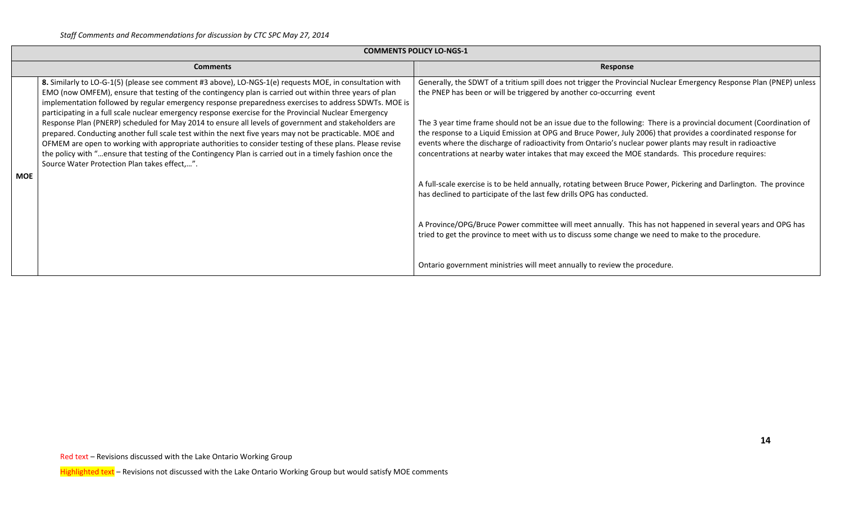|            |                                                                                                                                                                                                                                                                                                                                                                                                                                                                                         | <b>COMMENTS POLICY LO-NGS-1</b>                                                                                                                                                                                                                                                                                                                                                                                                                        |
|------------|-----------------------------------------------------------------------------------------------------------------------------------------------------------------------------------------------------------------------------------------------------------------------------------------------------------------------------------------------------------------------------------------------------------------------------------------------------------------------------------------|--------------------------------------------------------------------------------------------------------------------------------------------------------------------------------------------------------------------------------------------------------------------------------------------------------------------------------------------------------------------------------------------------------------------------------------------------------|
|            | <b>Comments</b>                                                                                                                                                                                                                                                                                                                                                                                                                                                                         | Response                                                                                                                                                                                                                                                                                                                                                                                                                                               |
|            | 8. Similarly to LO-G-1(5) (please see comment #3 above), LO-NGS-1(e) requests MOE, in consultation with<br>EMO (now OMFEM), ensure that testing of the contingency plan is carried out within three years of plan<br>implementation followed by regular emergency response preparedness exercises to address SDWTs. MOE is<br>participating in a full scale nuclear emergency response exercise for the Provincial Nuclear Emergency                                                    | Generally, the SDWT of a tritium spill does not trigger the Provincial Nuclear Emergency Response Plan (PNEP) unless<br>the PNEP has been or will be triggered by another co-occurring event                                                                                                                                                                                                                                                           |
|            | Response Plan (PNERP) scheduled for May 2014 to ensure all levels of government and stakeholders are<br>prepared. Conducting another full scale test within the next five years may not be practicable. MOE and<br>OFMEM are open to working with appropriate authorities to consider testing of these plans. Please revise<br>the policy with "ensure that testing of the Contingency Plan is carried out in a timely fashion once the<br>Source Water Protection Plan takes effect,". | The 3 year time frame should not be an issue due to the following: There is a provincial document (Coordination of<br>the response to a Liquid Emission at OPG and Bruce Power, July 2006) that provides a coordinated response for<br>events where the discharge of radioactivity from Ontario's nuclear power plants may result in radioactive<br>concentrations at nearby water intakes that may exceed the MOE standards. This procedure requires: |
| <b>MOE</b> |                                                                                                                                                                                                                                                                                                                                                                                                                                                                                         | A full-scale exercise is to be held annually, rotating between Bruce Power, Pickering and Darlington. The province<br>has declined to participate of the last few drills OPG has conducted.                                                                                                                                                                                                                                                            |
|            |                                                                                                                                                                                                                                                                                                                                                                                                                                                                                         | A Province/OPG/Bruce Power committee will meet annually. This has not happened in several years and OPG has<br>tried to get the province to meet with us to discuss some change we need to make to the procedure.                                                                                                                                                                                                                                      |
|            |                                                                                                                                                                                                                                                                                                                                                                                                                                                                                         | Ontario government ministries will meet annually to review the procedure.                                                                                                                                                                                                                                                                                                                                                                              |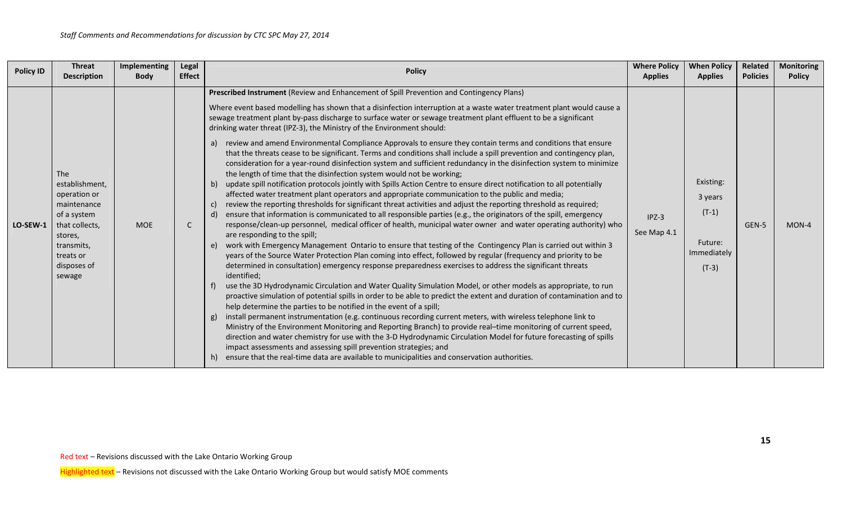| <b>Policy ID</b> | <b>Threat</b><br><b>Description</b>                                                                                                                         | <b>Implementing</b><br><b>Body</b> | <b>Legal</b><br><b>Effect</b> | <b>Policy</b>                                                                                                                                                                                                                                                                                                                                                                                                                                                                                                                                                                                                                                                                                                                                                                                                                                                                                                                                                                                                                                                                                                                                                                                                                                                                                                                                                                                                                                                                                                                                                                                                                                                                                                                                                                                                                                                                                                                                                                                                                                                                                                                                                                                                                                                                                                                                                                                                                                                                                                                                                                                                                                                                                                                                     | <b>Where Policy</b><br><b>Applies</b> | <b>When Policy</b><br><b>Applies</b>                                 | Related<br><b>Policies</b> | <b>Monitoring</b><br><b>Policy</b> |
|------------------|-------------------------------------------------------------------------------------------------------------------------------------------------------------|------------------------------------|-------------------------------|---------------------------------------------------------------------------------------------------------------------------------------------------------------------------------------------------------------------------------------------------------------------------------------------------------------------------------------------------------------------------------------------------------------------------------------------------------------------------------------------------------------------------------------------------------------------------------------------------------------------------------------------------------------------------------------------------------------------------------------------------------------------------------------------------------------------------------------------------------------------------------------------------------------------------------------------------------------------------------------------------------------------------------------------------------------------------------------------------------------------------------------------------------------------------------------------------------------------------------------------------------------------------------------------------------------------------------------------------------------------------------------------------------------------------------------------------------------------------------------------------------------------------------------------------------------------------------------------------------------------------------------------------------------------------------------------------------------------------------------------------------------------------------------------------------------------------------------------------------------------------------------------------------------------------------------------------------------------------------------------------------------------------------------------------------------------------------------------------------------------------------------------------------------------------------------------------------------------------------------------------------------------------------------------------------------------------------------------------------------------------------------------------------------------------------------------------------------------------------------------------------------------------------------------------------------------------------------------------------------------------------------------------------------------------------------------------------------------------------------------------|---------------------------------------|----------------------------------------------------------------------|----------------------------|------------------------------------|
| LO-SEW-1         | <b>The</b><br>establishment,<br>operation or<br>maintenance<br>of a system<br>that collects,<br>stores,<br>transmits,<br>treats or<br>disposes of<br>sewage | <b>MOE</b>                         | C                             | Prescribed Instrument (Review and Enhancement of Spill Prevention and Contingency Plans)<br>Where event based modelling has shown that a disinfection interruption at a waste water treatment plant would cause a<br>sewage treatment plant by-pass discharge to surface water or sewage treatment plant effluent to be a significant<br>drinking water threat (IPZ-3), the Ministry of the Environment should:<br>review and amend Environmental Compliance Approvals to ensure they contain terms and conditions that ensure<br>a)<br>that the threats cease to be significant. Terms and conditions shall include a spill prevention and contingency plan,<br>consideration for a year-round disinfection system and sufficient redundancy in the disinfection system to minimize<br>the length of time that the disinfection system would not be working;<br>update spill notification protocols jointly with Spills Action Centre to ensure direct notification to all potentially<br>b)<br>affected water treatment plant operators and appropriate communication to the public and media;<br>review the reporting thresholds for significant threat activities and adjust the reporting threshold as required;<br>C)<br>ensure that information is communicated to all responsible parties (e.g., the originators of the spill, emergency<br>d)<br>response/clean-up personnel, medical officer of health, municipal water owner and water operating authority) who<br>are responding to the spill;<br>work with Emergency Management Ontario to ensure that testing of the Contingency Plan is carried out within 3<br>e)<br>years of the Source Water Protection Plan coming into effect, followed by regular (frequency and priority to be<br>determined in consultation) emergency response preparedness exercises to address the significant threats<br>identified;<br>use the 3D Hydrodynamic Circulation and Water Quality Simulation Model, or other models as appropriate, to run<br>f)<br>proactive simulation of potential spills in order to be able to predict the extent and duration of contamination and to<br>help determine the parties to be notified in the event of a spill;<br>install permanent instrumentation (e.g. continuous recording current meters, with wireless telephone link to<br>g)<br>Ministry of the Environment Monitoring and Reporting Branch) to provide real-time monitoring of current speed,<br>direction and water chemistry for use with the 3-D Hydrodynamic Circulation Model for future forecasting of spills<br>impact assessments and assessing spill prevention strategies; and<br>ensure that the real-time data are available to municipalities and conservation authorities.<br>h) | $IPZ-3$<br>See Map 4.1                | Existing:<br>3 years<br>$(T-1)$<br>Future:<br>Immediately<br>$(T-3)$ | GEN-5                      | MON-4                              |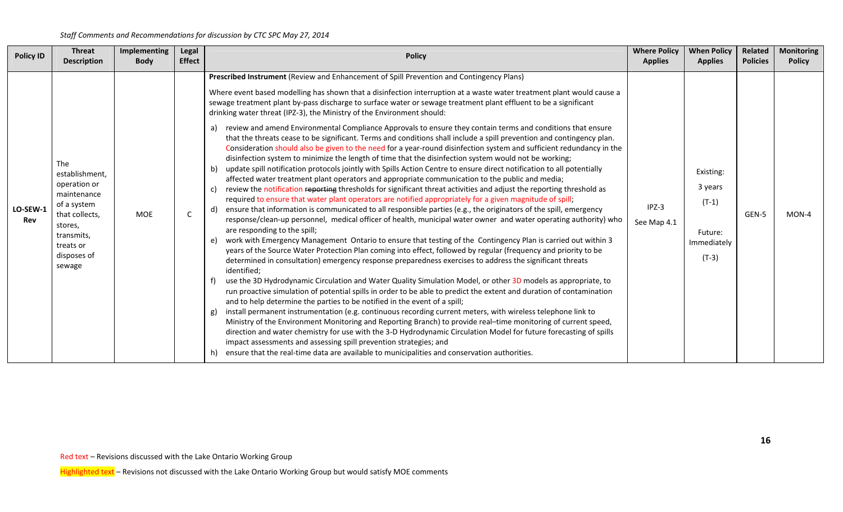| <b>Policy ID</b> | <b>Threat</b><br><b>Description</b>                                                                                                                         | <b>Implementing</b><br><b>Body</b> | Legal<br><b>Effect</b> | <b>Policy</b>                                                                                                                                                                                                                                                                                                                                                                                                                                                                                                                                                                                                                                                                                                                                                                                                                                                                                                                                                                                                                                                                                                                                                                                                                                                                                                                                                                                                                                                                                                                                                                                                                                                                                                                                                                                                                                                                                                                                                                                                                                                                                                                                                                                                                                                                                                                                                                                                                                                                                                                                                                                                                                                                                                                                                                                                                                                                            | <b>Where Policy</b><br><b>Applies</b> | When Policy<br><b>Applies</b>                                        | Related<br><b>Policies</b> | <b>Monitoring</b><br><b>Policy</b> |
|------------------|-------------------------------------------------------------------------------------------------------------------------------------------------------------|------------------------------------|------------------------|------------------------------------------------------------------------------------------------------------------------------------------------------------------------------------------------------------------------------------------------------------------------------------------------------------------------------------------------------------------------------------------------------------------------------------------------------------------------------------------------------------------------------------------------------------------------------------------------------------------------------------------------------------------------------------------------------------------------------------------------------------------------------------------------------------------------------------------------------------------------------------------------------------------------------------------------------------------------------------------------------------------------------------------------------------------------------------------------------------------------------------------------------------------------------------------------------------------------------------------------------------------------------------------------------------------------------------------------------------------------------------------------------------------------------------------------------------------------------------------------------------------------------------------------------------------------------------------------------------------------------------------------------------------------------------------------------------------------------------------------------------------------------------------------------------------------------------------------------------------------------------------------------------------------------------------------------------------------------------------------------------------------------------------------------------------------------------------------------------------------------------------------------------------------------------------------------------------------------------------------------------------------------------------------------------------------------------------------------------------------------------------------------------------------------------------------------------------------------------------------------------------------------------------------------------------------------------------------------------------------------------------------------------------------------------------------------------------------------------------------------------------------------------------------------------------------------------------------------------------------------------------|---------------------------------------|----------------------------------------------------------------------|----------------------------|------------------------------------|
| LO-SEW-1<br>Rev  | <b>The</b><br>establishment,<br>operation or<br>maintenance<br>of a system<br>that collects,<br>stores,<br>transmits,<br>treats or<br>disposes of<br>sewage | <b>MOE</b>                         | $\mathsf{C}$           | Prescribed Instrument (Review and Enhancement of Spill Prevention and Contingency Plans)<br>Where event based modelling has shown that a disinfection interruption at a waste water treatment plant would cause a<br>sewage treatment plant by-pass discharge to surface water or sewage treatment plant effluent to be a significant<br>drinking water threat (IPZ-3), the Ministry of the Environment should:<br>review and amend Environmental Compliance Approvals to ensure they contain terms and conditions that ensure<br>that the threats cease to be significant. Terms and conditions shall include a spill prevention and contingency plan.<br>Consideration should also be given to the need for a year-round disinfection system and sufficient redundancy in the<br>disinfection system to minimize the length of time that the disinfection system would not be working;<br>update spill notification protocols jointly with Spills Action Centre to ensure direct notification to all potentially<br>b)<br>affected water treatment plant operators and appropriate communication to the public and media;<br>review the notification reporting thresholds for significant threat activities and adjust the reporting threshold as<br>C)<br>required to ensure that water plant operators are notified appropriately for a given magnitude of spill;<br>ensure that information is communicated to all responsible parties (e.g., the originators of the spill, emergency<br>d)<br>response/clean-up personnel, medical officer of health, municipal water owner and water operating authority) who<br>are responding to the spill;<br>work with Emergency Management Ontario to ensure that testing of the Contingency Plan is carried out within 3<br>e)<br>years of the Source Water Protection Plan coming into effect, followed by regular (frequency and priority to be<br>determined in consultation) emergency response preparedness exercises to address the significant threats<br>identified;<br>use the 3D Hydrodynamic Circulation and Water Quality Simulation Model, or other 3D models as appropriate, to<br>run proactive simulation of potential spills in order to be able to predict the extent and duration of contamination<br>and to help determine the parties to be notified in the event of a spill;<br>install permanent instrumentation (e.g. continuous recording current meters, with wireless telephone link to<br>g)<br>Ministry of the Environment Monitoring and Reporting Branch) to provide real-time monitoring of current speed,<br>direction and water chemistry for use with the 3-D Hydrodynamic Circulation Model for future forecasting of spills<br>impact assessments and assessing spill prevention strategies; and<br>ensure that the real-time data are available to municipalities and conservation authorities.<br>h) | $IPZ-3$<br>See Map 4.1                | Existing:<br>3 years<br>$(T-1)$<br>Future:<br>Immediately<br>$(T-3)$ | GEN-5                      | $MON-4$                            |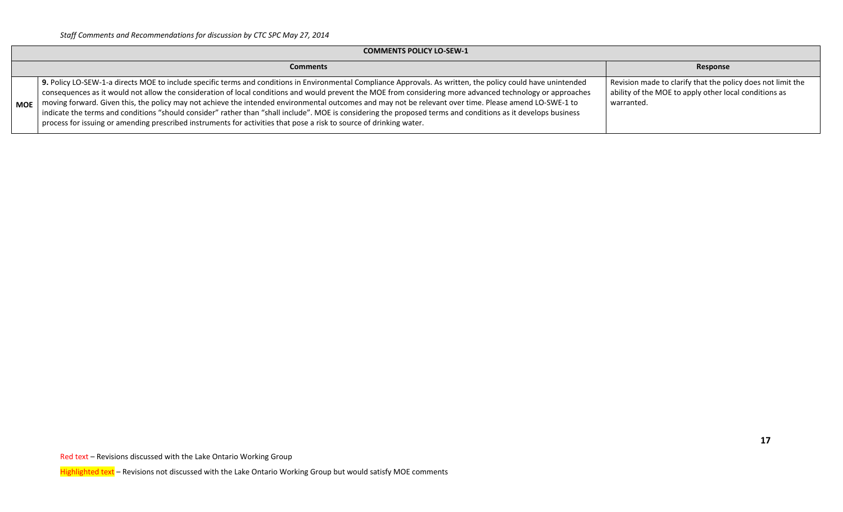|            | <b>COMMENTS POLICY LO-SEW-1</b>                                                                                                                                                                                                                                                                                                                                                                                                                                                                                                                                                                                                                                                                                                                                               |                                                                                                                                    |  |  |  |  |  |
|------------|-------------------------------------------------------------------------------------------------------------------------------------------------------------------------------------------------------------------------------------------------------------------------------------------------------------------------------------------------------------------------------------------------------------------------------------------------------------------------------------------------------------------------------------------------------------------------------------------------------------------------------------------------------------------------------------------------------------------------------------------------------------------------------|------------------------------------------------------------------------------------------------------------------------------------|--|--|--|--|--|
|            | <b>Comments</b>                                                                                                                                                                                                                                                                                                                                                                                                                                                                                                                                                                                                                                                                                                                                                               | Response                                                                                                                           |  |  |  |  |  |
| <b>MOE</b> | 9. Policy LO-SEW-1-a directs MOE to include specific terms and conditions in Environmental Compliance Approvals. As written, the policy could have unintended<br>consequences as it would not allow the consideration of local conditions and would prevent the MOE from considering more advanced technology or approaches<br>moving forward. Given this, the policy may not achieve the intended environmental outcomes and may not be relevant over time. Please amend LO-SWE-1 to<br>indicate the terms and conditions "should consider" rather than "shall include". MOE is considering the proposed terms and conditions as it develops business<br>process for issuing or amending prescribed instruments for activities that pose a risk to source of drinking water. | Revision made to clarify that the policy does not limit the<br>ability of the MOE to apply other local conditions as<br>warranted. |  |  |  |  |  |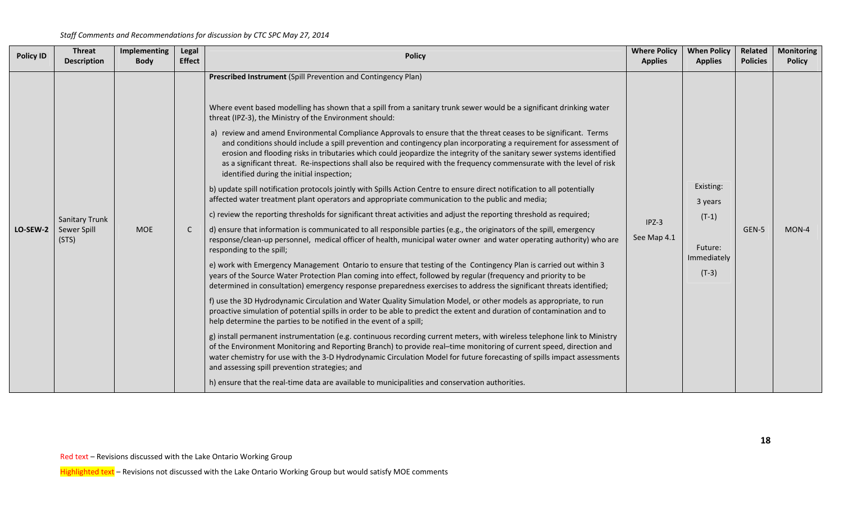| <b>Policy ID</b> | <b>Threat</b><br><b>Description</b>           | Implementing<br><b>Body</b> | Legal<br><b>Effect</b> | <b>Policy</b>                                                                                                                                                                                                                                                                                                                                                                                                                                                                                                                                                                                                                                                                                                                                                                                                                                                                                                                                                                                                                                                                                                                                                                                                                                                                                                                                                                                                                                                                                                                                                                                                                                                                                                                                                                                                                                                                                                                                                                                                                                                                                                                                                                                                                                                                                                                                                                                                                                                                                                                                                                                                                                            | <b>Where Policy</b><br><b>Applies</b> | <b>When Policy</b><br><b>Applies</b>                                 | Related<br><b>Policies</b> | <b>Monitoring</b><br><b>Policy</b> |
|------------------|-----------------------------------------------|-----------------------------|------------------------|----------------------------------------------------------------------------------------------------------------------------------------------------------------------------------------------------------------------------------------------------------------------------------------------------------------------------------------------------------------------------------------------------------------------------------------------------------------------------------------------------------------------------------------------------------------------------------------------------------------------------------------------------------------------------------------------------------------------------------------------------------------------------------------------------------------------------------------------------------------------------------------------------------------------------------------------------------------------------------------------------------------------------------------------------------------------------------------------------------------------------------------------------------------------------------------------------------------------------------------------------------------------------------------------------------------------------------------------------------------------------------------------------------------------------------------------------------------------------------------------------------------------------------------------------------------------------------------------------------------------------------------------------------------------------------------------------------------------------------------------------------------------------------------------------------------------------------------------------------------------------------------------------------------------------------------------------------------------------------------------------------------------------------------------------------------------------------------------------------------------------------------------------------------------------------------------------------------------------------------------------------------------------------------------------------------------------------------------------------------------------------------------------------------------------------------------------------------------------------------------------------------------------------------------------------------------------------------------------------------------------------------------------------|---------------------------------------|----------------------------------------------------------------------|----------------------------|------------------------------------|
| LO-SEW-2         | <b>Sanitary Trunk</b><br>Sewer Spill<br>(STS) | <b>MOE</b>                  | $\mathsf{C}$           | Prescribed Instrument (Spill Prevention and Contingency Plan)<br>Where event based modelling has shown that a spill from a sanitary trunk sewer would be a significant drinking water<br>threat (IPZ-3), the Ministry of the Environment should:<br>a) review and amend Environmental Compliance Approvals to ensure that the threat ceases to be significant. Terms<br>and conditions should include a spill prevention and contingency plan incorporating a requirement for assessment of<br>erosion and flooding risks in tributaries which could jeopardize the integrity of the sanitary sewer systems identified<br>as a significant threat. Re-inspections shall also be required with the frequency commensurate with the level of risk<br>identified during the initial inspection;<br>b) update spill notification protocols jointly with Spills Action Centre to ensure direct notification to all potentially<br>affected water treatment plant operators and appropriate communication to the public and media;<br>c) review the reporting thresholds for significant threat activities and adjust the reporting threshold as required;<br>d) ensure that information is communicated to all responsible parties (e.g., the originators of the spill, emergency<br>response/clean-up personnel, medical officer of health, municipal water owner and water operating authority) who are<br>responding to the spill;<br>e) work with Emergency Management Ontario to ensure that testing of the Contingency Plan is carried out within 3<br>years of the Source Water Protection Plan coming into effect, followed by regular (frequency and priority to be<br>determined in consultation) emergency response preparedness exercises to address the significant threats identified;<br>f) use the 3D Hydrodynamic Circulation and Water Quality Simulation Model, or other models as appropriate, to run<br>proactive simulation of potential spills in order to be able to predict the extent and duration of contamination and to<br>help determine the parties to be notified in the event of a spill;<br>g) install permanent instrumentation (e.g. continuous recording current meters, with wireless telephone link to Ministry<br>of the Environment Monitoring and Reporting Branch) to provide real-time monitoring of current speed, direction and<br>water chemistry for use with the 3-D Hydrodynamic Circulation Model for future forecasting of spills impact assessments<br>and assessing spill prevention strategies; and<br>h) ensure that the real-time data are available to municipalities and conservation authorities. | $IPZ-3$<br>See Map 4.1                | Existing:<br>3 years<br>$(T-1)$<br>Future:<br>Immediately<br>$(T-3)$ | GEN-5                      | $MON-4$                            |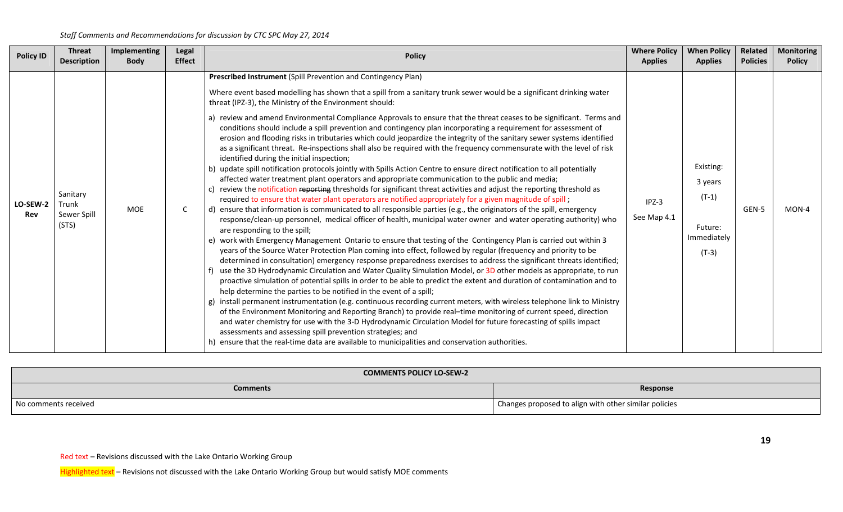| <b>Policy ID</b> | <b>Threat</b><br><b>Description</b>       | <b>Implementing</b><br><b>Body</b> | <b>Legal</b><br><b>Effect</b> | <b>Policy</b>                                                                                                                                                                                                                                                                                                                                                                                                                                                                                                                                                                                                                                                                                                                                                                                                                                                                                                                                                                                                                                                                                                                                                                                                                                                                                                                                                                                                                                                                                                                                                                                                                                                                                                                                                                                                                                                                                                                                                                                                                                                                                                                                                                                                                                                                                                                                                                                                                                                                                                                                                                                                                                                                                                                                                     | <b>Where Policy</b><br><b>Applies</b> | <b>When Policy</b><br><b>Applies</b>                                 | Related<br><b>Policies</b> | <b>Monitoring</b><br><b>Policy</b> |
|------------------|-------------------------------------------|------------------------------------|-------------------------------|-------------------------------------------------------------------------------------------------------------------------------------------------------------------------------------------------------------------------------------------------------------------------------------------------------------------------------------------------------------------------------------------------------------------------------------------------------------------------------------------------------------------------------------------------------------------------------------------------------------------------------------------------------------------------------------------------------------------------------------------------------------------------------------------------------------------------------------------------------------------------------------------------------------------------------------------------------------------------------------------------------------------------------------------------------------------------------------------------------------------------------------------------------------------------------------------------------------------------------------------------------------------------------------------------------------------------------------------------------------------------------------------------------------------------------------------------------------------------------------------------------------------------------------------------------------------------------------------------------------------------------------------------------------------------------------------------------------------------------------------------------------------------------------------------------------------------------------------------------------------------------------------------------------------------------------------------------------------------------------------------------------------------------------------------------------------------------------------------------------------------------------------------------------------------------------------------------------------------------------------------------------------------------------------------------------------------------------------------------------------------------------------------------------------------------------------------------------------------------------------------------------------------------------------------------------------------------------------------------------------------------------------------------------------------------------------------------------------------------------------------------------------|---------------------------------------|----------------------------------------------------------------------|----------------------------|------------------------------------|
| LO-SEW-2<br>Rev  | Sanitary<br>Trunk<br>Sewer Spill<br>(STS) | <b>MOE</b>                         | C                             | Prescribed Instrument (Spill Prevention and Contingency Plan)<br>Where event based modelling has shown that a spill from a sanitary trunk sewer would be a significant drinking water<br>threat (IPZ-3), the Ministry of the Environment should:<br>a) review and amend Environmental Compliance Approvals to ensure that the threat ceases to be significant. Terms and<br>conditions should include a spill prevention and contingency plan incorporating a requirement for assessment of<br>erosion and flooding risks in tributaries which could jeopardize the integrity of the sanitary sewer systems identified<br>as a significant threat. Re-inspections shall also be required with the frequency commensurate with the level of risk<br>identified during the initial inspection;<br>update spill notification protocols jointly with Spills Action Centre to ensure direct notification to all potentially<br>affected water treatment plant operators and appropriate communication to the public and media;<br>review the notification reporting thresholds for significant threat activities and adjust the reporting threshold as<br>required to ensure that water plant operators are notified appropriately for a given magnitude of spill;<br>d) ensure that information is communicated to all responsible parties (e.g., the originators of the spill, emergency<br>response/clean-up personnel, medical officer of health, municipal water owner and water operating authority) who<br>are responding to the spill;<br>e) work with Emergency Management Ontario to ensure that testing of the Contingency Plan is carried out within 3<br>years of the Source Water Protection Plan coming into effect, followed by regular (frequency and priority to be<br>determined in consultation) emergency response preparedness exercises to address the significant threats identified;<br>use the 3D Hydrodynamic Circulation and Water Quality Simulation Model, or 3D other models as appropriate, to run<br>proactive simulation of potential spills in order to be able to predict the extent and duration of contamination and to<br>help determine the parties to be notified in the event of a spill;<br>install permanent instrumentation (e.g. continuous recording current meters, with wireless telephone link to Ministry<br>g)<br>of the Environment Monitoring and Reporting Branch) to provide real-time monitoring of current speed, direction<br>and water chemistry for use with the 3-D Hydrodynamic Circulation Model for future forecasting of spills impact<br>assessments and assessing spill prevention strategies; and<br>ensure that the real-time data are available to municipalities and conservation authorities. | $IPZ-3$<br>See Map 4.1                | Existing:<br>3 years<br>$(T-1)$<br>Future:<br>Immediately<br>$(T-3)$ | GEN-5                      | $MON-4$                            |

| <b>COMMENTS POLICY LO-SEW-2</b> |                                                       |  |  |  |  |
|---------------------------------|-------------------------------------------------------|--|--|--|--|
| <b>Comments</b><br>Response     |                                                       |  |  |  |  |
| No comments received            | Changes proposed to align with other similar policies |  |  |  |  |

Red text – Revisions discussed with the Lake Ontario Working Group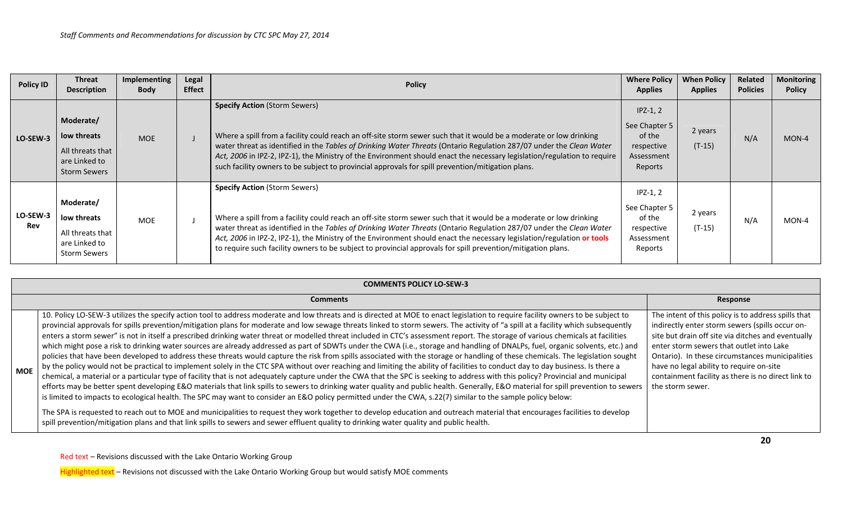| <b>Policy ID</b> | <b>Threat</b><br><b>Description</b>                                                  | Implementing<br><b>Body</b> | <b>Legal</b><br><b>Effect</b> | <b>Policy</b>                                                                                                                                                                                                                                                                                                                                                                                                                                                                                                               | <b>Where Policy</b><br><b>Applies</b>                                        | <b>When Policy</b><br><b>Applies</b> | Related<br><b>Policies</b> | <b>Monitoring</b><br><b>Policy</b> |
|------------------|--------------------------------------------------------------------------------------|-----------------------------|-------------------------------|-----------------------------------------------------------------------------------------------------------------------------------------------------------------------------------------------------------------------------------------------------------------------------------------------------------------------------------------------------------------------------------------------------------------------------------------------------------------------------------------------------------------------------|------------------------------------------------------------------------------|--------------------------------------|----------------------------|------------------------------------|
| LO-SEW-3         | Moderate/<br>low threats<br>All threats that<br>are Linked to<br><b>Storm Sewers</b> | <b>MOE</b>                  |                               | <b>Specify Action (Storm Sewers)</b><br>Where a spill from a facility could reach an off-site storm sewer such that it would be a moderate or low drinking<br>water threat as identified in the Tables of Drinking Water Threats (Ontario Regulation 287/07 under the Clean Water<br>Act, 2006 in IPZ-2, IPZ-1), the Ministry of the Environment should enact the necessary legislation/regulation to require<br>such facility owners to be subject to provincial approvals for spill prevention/mitigation plans.          | $IPZ-1, 2$<br>See Chapter 5<br>of the<br>respective<br>Assessment<br>Reports | 2 years<br>$(T-15)$                  | N/A                        | MON-4                              |
| LO-SEW-3<br>Rev  | Moderate/<br>low threats<br>All threats that<br>are Linked to<br><b>Storm Sewers</b> | <b>MOE</b>                  |                               | <b>Specify Action (Storm Sewers)</b><br>Where a spill from a facility could reach an off-site storm sewer such that it would be a moderate or low drinking<br>water threat as identified in the Tables of Drinking Water Threats (Ontario Regulation 287/07 under the Clean Water<br>Act, 2006 in IPZ-2, IPZ-1), the Ministry of the Environment should enact the necessary legislation/regulation or tools<br>to require such facility owners to be subject to provincial approvals for spill prevention/mitigation plans. | $IPZ-1, 2$<br>See Chapter 5<br>of the<br>respective<br>Assessment<br>Reports | 2 years<br>$(T-15)$                  | N/A                        | MON-4                              |

|     | <b>COMMENTS POLICY LO-SEW-3</b>                                                                                                                                                                                                                                                                                                                                                                                                                                                                                                                                                                                                                                                                                                                                                                                                                                                                                                                                                                                                                                                                                                                                                                                                                                                                                                                                                                                                                                                                                                                                                                                                                               |                                                                                                                                                                                                                                                                                                                                                                                   |  |  |  |  |  |  |  |  |
|-----|---------------------------------------------------------------------------------------------------------------------------------------------------------------------------------------------------------------------------------------------------------------------------------------------------------------------------------------------------------------------------------------------------------------------------------------------------------------------------------------------------------------------------------------------------------------------------------------------------------------------------------------------------------------------------------------------------------------------------------------------------------------------------------------------------------------------------------------------------------------------------------------------------------------------------------------------------------------------------------------------------------------------------------------------------------------------------------------------------------------------------------------------------------------------------------------------------------------------------------------------------------------------------------------------------------------------------------------------------------------------------------------------------------------------------------------------------------------------------------------------------------------------------------------------------------------------------------------------------------------------------------------------------------------|-----------------------------------------------------------------------------------------------------------------------------------------------------------------------------------------------------------------------------------------------------------------------------------------------------------------------------------------------------------------------------------|--|--|--|--|--|--|--|--|
|     | <b>Comments</b>                                                                                                                                                                                                                                                                                                                                                                                                                                                                                                                                                                                                                                                                                                                                                                                                                                                                                                                                                                                                                                                                                                                                                                                                                                                                                                                                                                                                                                                                                                                                                                                                                                               | Response                                                                                                                                                                                                                                                                                                                                                                          |  |  |  |  |  |  |  |  |
| MOE | 10. Policy LO-SEW-3 utilizes the specify action tool to address moderate and low threats and is directed at MOE to enact legislation to require facility owners to be subject to<br>provincial approvals for spills prevention/mitigation plans for moderate and low sewage threats linked to storm sewers. The activity of "a spill at a facility which subsequently<br>enters a storm sewer" is not in itself a prescribed drinking water threat or modelled threat included in CTC's assessment report. The storage of various chemicals at facilities<br>which might pose a risk to drinking water sources are already addressed as part of SDWTs under the CWA (i.e., storage and handling of DNALPs, fuel, organic solvents, etc.) and<br>policies that have been developed to address these threats would capture the risk from spills associated with the storage or handling of these chemicals. The legislation sought<br>by the policy would not be practical to implement solely in the CTC SPA without over reaching and limiting the ability of facilities to conduct day to day business. Is there a<br>chemical, a material or a particular type of facility that is not adequately capture under the CWA that the SPC is seeking to address with this policy? Provincial and municipal<br>efforts may be better spent developing E&O materials that link spills to sewers to drinking water quality and public health. Generally, E&O material for spill prevention to sewers<br>is limited to impacts to ecological health. The SPC may want to consider an E&O policy permitted under the CWA, s.22(7) similar to the sample policy below: | The intent of this policy is to address spills that<br>indirectly enter storm sewers (spills occur on-<br>site but drain off site via ditches and eventually<br>enter storm sewers that outlet into Lake<br>Ontario). In these circumstances municipalities<br>have no legal ability to require on-site<br>containment facility as there is no direct link to<br>the storm sewer. |  |  |  |  |  |  |  |  |
|     | The SPA is requested to reach out to MOE and municipalities to request they work together to develop education and outreach material that encourages facilities to develop<br>spill prevention/mitigation plans and that link spills to sewers and sewer effluent quality to drinking water quality and public health.                                                                                                                                                                                                                                                                                                                                                                                                                                                                                                                                                                                                                                                                                                                                                                                                                                                                                                                                                                                                                                                                                                                                                                                                                                                                                                                                        |                                                                                                                                                                                                                                                                                                                                                                                   |  |  |  |  |  |  |  |  |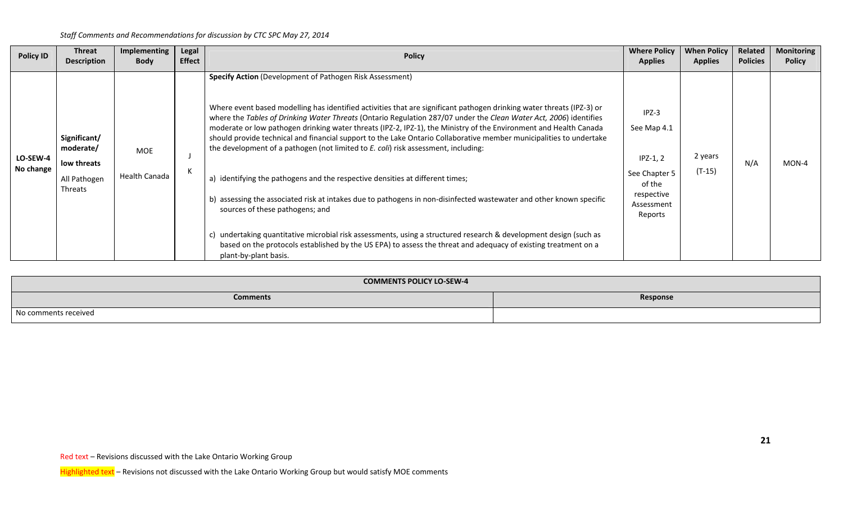| <b>Policy ID</b>      | <b>Threat</b><br><b>Description</b>                                 | Implementing<br><b>Body</b> | Legal<br><b>Effect</b> | <b>Policy</b>                                                                                                                                                                                                                                                                                                                                                                                                                                                                                                                                                                                                                                                                                                                                                                                                                                                                                                                                                                                                                                                                                                                                              | <b>Where Policy</b><br><b>Applies</b>                                                                  | <b>When Policy</b><br><b>Applies</b> | Related<br><b>Policies</b> | <b>Monitoring</b><br><b>Policy</b> |
|-----------------------|---------------------------------------------------------------------|-----------------------------|------------------------|------------------------------------------------------------------------------------------------------------------------------------------------------------------------------------------------------------------------------------------------------------------------------------------------------------------------------------------------------------------------------------------------------------------------------------------------------------------------------------------------------------------------------------------------------------------------------------------------------------------------------------------------------------------------------------------------------------------------------------------------------------------------------------------------------------------------------------------------------------------------------------------------------------------------------------------------------------------------------------------------------------------------------------------------------------------------------------------------------------------------------------------------------------|--------------------------------------------------------------------------------------------------------|--------------------------------------|----------------------------|------------------------------------|
| LO-SEW-4<br>No change | Significant/<br>moderate/<br>low threats<br>All Pathogen<br>Threats | MOE<br><b>Health Canada</b> | К                      | <b>Specify Action</b> (Development of Pathogen Risk Assessment)<br>Where event based modelling has identified activities that are significant pathogen drinking water threats (IPZ-3) or<br>where the Tables of Drinking Water Threats (Ontario Regulation 287/07 under the Clean Water Act, 2006) identifies<br>moderate or low pathogen drinking water threats (IPZ-2, IPZ-1), the Ministry of the Environment and Health Canada<br>should provide technical and financial support to the Lake Ontario Collaborative member municipalities to undertake<br>the development of a pathogen (not limited to E. coli) risk assessment, including:<br>a) identifying the pathogens and the respective densities at different times;<br>b) assessing the associated risk at intakes due to pathogens in non-disinfected wastewater and other known specific<br>sources of these pathogens; and<br>c) undertaking quantitative microbial risk assessments, using a structured research & development design (such as<br>based on the protocols established by the US EPA) to assess the threat and adequacy of existing treatment on a<br>plant-by-plant basis. | $IPZ-3$<br>See Map 4.1<br>$IPZ-1, 2$<br>See Chapter 5<br>of the<br>respective<br>Assessment<br>Reports | 2 years<br>$(T-15)$                  | N/A                        | MON-4                              |

| <b>COMMENTS POLICY LO-SEW-4</b> |          |
|---------------------------------|----------|
| <b>Comments</b>                 | Response |
| No comments received            |          |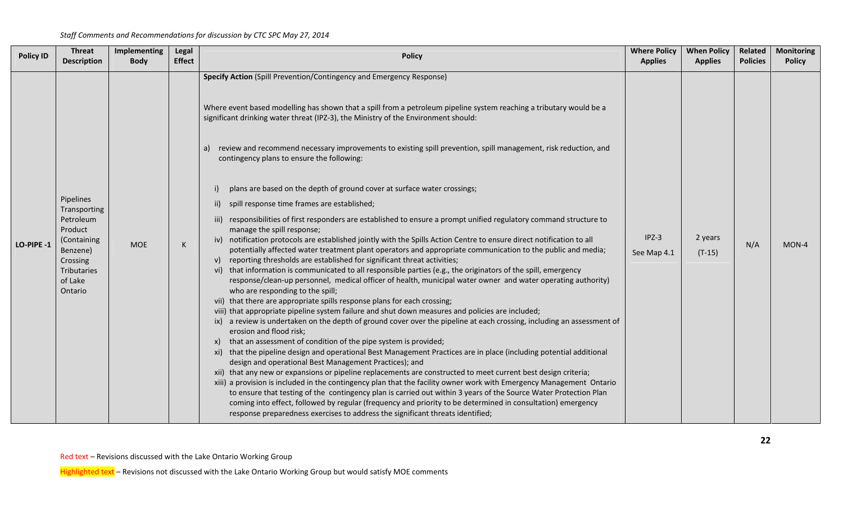| <b>Policy ID</b> | <b>Threat</b><br><b>Description</b>                                                                                           | Implementing<br><b>Body</b> | Legal<br><b>Effect</b> | <b>Policy</b>                                                                                                                                                                                                                                                                                                                                                                                                                                                                                                                                                                                                                                                                                                                                                                                                                                                                                                                                                                                                                                                                                                                                                                                                                                                                                                                                                                                                                                                                                                                                                                                                                                                                                                                                                                                                                                                                                                                                                                                                                                                                                                                                                                                                                                                                                                                                                                                                                                                                                     | <b>Where Policy</b><br><b>Applies</b> | <b>When Policy</b><br><b>Applies</b> | Related<br><b>Policies</b> | <b>Monitoring</b><br><b>Policy</b> |
|------------------|-------------------------------------------------------------------------------------------------------------------------------|-----------------------------|------------------------|---------------------------------------------------------------------------------------------------------------------------------------------------------------------------------------------------------------------------------------------------------------------------------------------------------------------------------------------------------------------------------------------------------------------------------------------------------------------------------------------------------------------------------------------------------------------------------------------------------------------------------------------------------------------------------------------------------------------------------------------------------------------------------------------------------------------------------------------------------------------------------------------------------------------------------------------------------------------------------------------------------------------------------------------------------------------------------------------------------------------------------------------------------------------------------------------------------------------------------------------------------------------------------------------------------------------------------------------------------------------------------------------------------------------------------------------------------------------------------------------------------------------------------------------------------------------------------------------------------------------------------------------------------------------------------------------------------------------------------------------------------------------------------------------------------------------------------------------------------------------------------------------------------------------------------------------------------------------------------------------------------------------------------------------------------------------------------------------------------------------------------------------------------------------------------------------------------------------------------------------------------------------------------------------------------------------------------------------------------------------------------------------------------------------------------------------------------------------------------------------------|---------------------------------------|--------------------------------------|----------------------------|------------------------------------|
| LO-PIPE -1       | Pipelines<br>Transporting<br>Petroleum<br>Product<br>(Containing<br>Benzene)<br>Crossing<br>Tributaries<br>of Lake<br>Ontario | <b>MOE</b>                  | K                      | Specify Action (Spill Prevention/Contingency and Emergency Response)<br>Where event based modelling has shown that a spill from a petroleum pipeline system reaching a tributary would be a<br>significant drinking water threat (IPZ-3), the Ministry of the Environment should:<br>a) review and recommend necessary improvements to existing spill prevention, spill management, risk reduction, and<br>contingency plans to ensure the following:<br>plans are based on the depth of ground cover at surface water crossings;<br>ii) spill response time frames are established;<br>iii) responsibilities of first responders are established to ensure a prompt unified regulatory command structure to<br>manage the spill response;<br>iv) notification protocols are established jointly with the Spills Action Centre to ensure direct notification to all<br>potentially affected water treatment plant operators and appropriate communication to the public and media;<br>v) reporting thresholds are established for significant threat activities;<br>vi) that information is communicated to all responsible parties (e.g., the originators of the spill, emergency<br>response/clean-up personnel, medical officer of health, municipal water owner and water operating authority)<br>who are responding to the spill;<br>vii) that there are appropriate spills response plans for each crossing;<br>viii) that appropriate pipeline system failure and shut down measures and policies are included;<br>ix) a review is undertaken on the depth of ground cover over the pipeline at each crossing, including an assessment of<br>erosion and flood risk;<br>x) that an assessment of condition of the pipe system is provided;<br>xi) that the pipeline design and operational Best Management Practices are in place (including potential additional<br>design and operational Best Management Practices); and<br>xii) that any new or expansions or pipeline replacements are constructed to meet current best design criteria;<br>xiii) a provision is included in the contingency plan that the facility owner work with Emergency Management Ontario<br>to ensure that testing of the contingency plan is carried out within 3 years of the Source Water Protection Plan<br>coming into effect, followed by regular (frequency and priority to be determined in consultation) emergency<br>response preparedness exercises to address the significant threats identified; | $IPZ-3$<br>See Map 4.1                | 2 years<br>$(T-15)$                  | N/A                        | MON-4                              |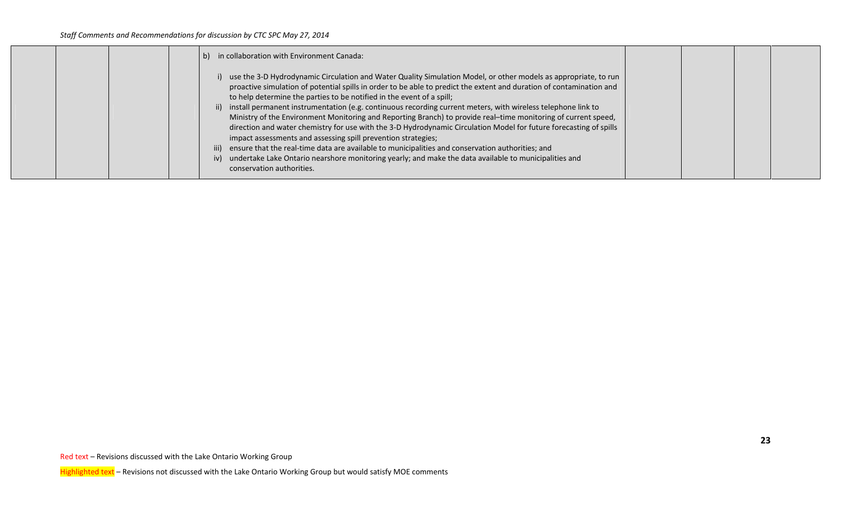| b) in collaboration with Environment Canada:                                                                                                                                                                                                                                                                                                                                                                                                                                                                                                                                                                                                                                                                                                                                                                                                                                                                                                                                                        |  |  |
|-----------------------------------------------------------------------------------------------------------------------------------------------------------------------------------------------------------------------------------------------------------------------------------------------------------------------------------------------------------------------------------------------------------------------------------------------------------------------------------------------------------------------------------------------------------------------------------------------------------------------------------------------------------------------------------------------------------------------------------------------------------------------------------------------------------------------------------------------------------------------------------------------------------------------------------------------------------------------------------------------------|--|--|
| i) use the 3-D Hydrodynamic Circulation and Water Quality Simulation Model, or other models as appropriate, to run<br>proactive simulation of potential spills in order to be able to predict the extent and duration of contamination and<br>to help determine the parties to be notified in the event of a spill;<br>ii) install permanent instrumentation (e.g. continuous recording current meters, with wireless telephone link to<br>Ministry of the Environment Monitoring and Reporting Branch) to provide real-time monitoring of current speed,<br>direction and water chemistry for use with the 3-D Hydrodynamic Circulation Model for future forecasting of spills<br>impact assessments and assessing spill prevention strategies;<br>iii) ensure that the real-time data are available to municipalities and conservation authorities; and<br>iv) undertake Lake Ontario nearshore monitoring yearly; and make the data available to municipalities and<br>conservation authorities. |  |  |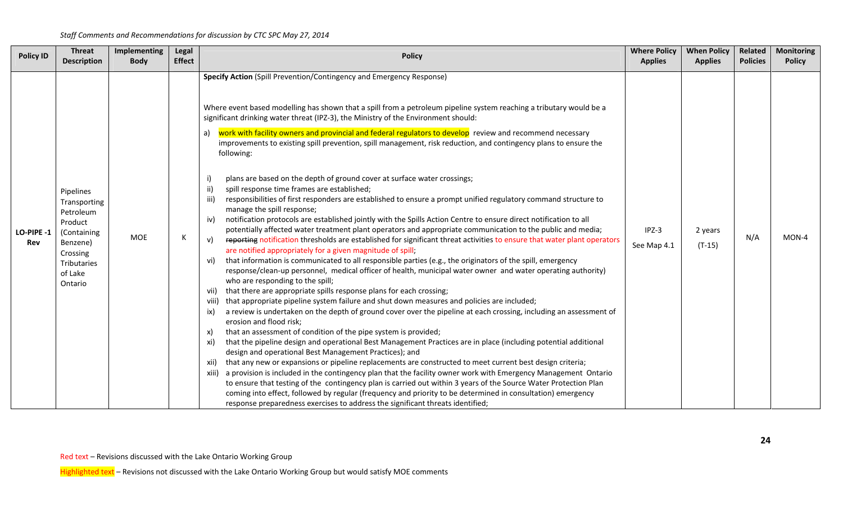| <b>Policy ID</b> | <b>Threat</b>                                                                                                                 | Implementing | Legal         | <b>Policy</b>                                                                                                                                                                                                                                                                                                                                                                                                                                                                                                                                                                                                                                                                                                                                                                                                                                                                                                                                                                                                                                                                                                                                                                                                                                                                                                                                                                                                                                                                                                                                                                                                                                                                                                                                                                                                                                                                                                                                                                                                                                                                                                                                                                                                                                                                                                                                                                                                                                                                                                                                                                                                                                                                                                                       | <b>Where Policy</b>    | <b>When Policy</b>  | Related         | <b>Monitoring</b> |
|------------------|-------------------------------------------------------------------------------------------------------------------------------|--------------|---------------|-------------------------------------------------------------------------------------------------------------------------------------------------------------------------------------------------------------------------------------------------------------------------------------------------------------------------------------------------------------------------------------------------------------------------------------------------------------------------------------------------------------------------------------------------------------------------------------------------------------------------------------------------------------------------------------------------------------------------------------------------------------------------------------------------------------------------------------------------------------------------------------------------------------------------------------------------------------------------------------------------------------------------------------------------------------------------------------------------------------------------------------------------------------------------------------------------------------------------------------------------------------------------------------------------------------------------------------------------------------------------------------------------------------------------------------------------------------------------------------------------------------------------------------------------------------------------------------------------------------------------------------------------------------------------------------------------------------------------------------------------------------------------------------------------------------------------------------------------------------------------------------------------------------------------------------------------------------------------------------------------------------------------------------------------------------------------------------------------------------------------------------------------------------------------------------------------------------------------------------------------------------------------------------------------------------------------------------------------------------------------------------------------------------------------------------------------------------------------------------------------------------------------------------------------------------------------------------------------------------------------------------------------------------------------------------------------------------------------------------|------------------------|---------------------|-----------------|-------------------|
|                  | <b>Description</b>                                                                                                            | <b>Body</b>  | <b>Effect</b> |                                                                                                                                                                                                                                                                                                                                                                                                                                                                                                                                                                                                                                                                                                                                                                                                                                                                                                                                                                                                                                                                                                                                                                                                                                                                                                                                                                                                                                                                                                                                                                                                                                                                                                                                                                                                                                                                                                                                                                                                                                                                                                                                                                                                                                                                                                                                                                                                                                                                                                                                                                                                                                                                                                                                     | <b>Applies</b>         | <b>Applies</b>      | <b>Policies</b> | <b>Policy</b>     |
| LO-PIPE-1<br>Rev | Pipelines<br>Transporting<br>Petroleum<br>Product<br>(Containing<br>Benzene)<br>Crossing<br>Tributaries<br>of Lake<br>Ontario | MOE          | к             | Specify Action (Spill Prevention/Contingency and Emergency Response)<br>Where event based modelling has shown that a spill from a petroleum pipeline system reaching a tributary would be a<br>significant drinking water threat (IPZ-3), the Ministry of the Environment should:<br>a) work with facility owners and provincial and federal regulators to develop review and recommend necessary<br>improvements to existing spill prevention, spill management, risk reduction, and contingency plans to ensure the<br>following:<br>plans are based on the depth of ground cover at surface water crossings;<br>spill response time frames are established;<br>ii)<br>responsibilities of first responders are established to ensure a prompt unified regulatory command structure to<br>iii)<br>manage the spill response;<br>notification protocols are established jointly with the Spills Action Centre to ensure direct notification to all<br>iv).<br>potentially affected water treatment plant operators and appropriate communication to the public and media;<br>reporting notification thresholds are established for significant threat activities to ensure that water plant operators<br>v)<br>are notified appropriately for a given magnitude of spill;<br>that information is communicated to all responsible parties (e.g., the originators of the spill, emergency<br>vi)<br>response/clean-up personnel, medical officer of health, municipal water owner and water operating authority)<br>who are responding to the spill;<br>that there are appropriate spills response plans for each crossing;<br>vii)<br>that appropriate pipeline system failure and shut down measures and policies are included;<br>viii)<br>a review is undertaken on the depth of ground cover over the pipeline at each crossing, including an assessment of<br>ix)<br>erosion and flood risk;<br>that an assessment of condition of the pipe system is provided;<br>X)<br>that the pipeline design and operational Best Management Practices are in place (including potential additional<br>xi)<br>design and operational Best Management Practices); and<br>that any new or expansions or pipeline replacements are constructed to meet current best design criteria;<br>xii)<br>a provision is included in the contingency plan that the facility owner work with Emergency Management Ontario<br>xiii)<br>to ensure that testing of the contingency plan is carried out within 3 years of the Source Water Protection Plan<br>coming into effect, followed by regular (frequency and priority to be determined in consultation) emergency<br>response preparedness exercises to address the significant threats identified; | $IPZ-3$<br>See Map 4.1 | 2 years<br>$(T-15)$ | N/A             | MON-4             |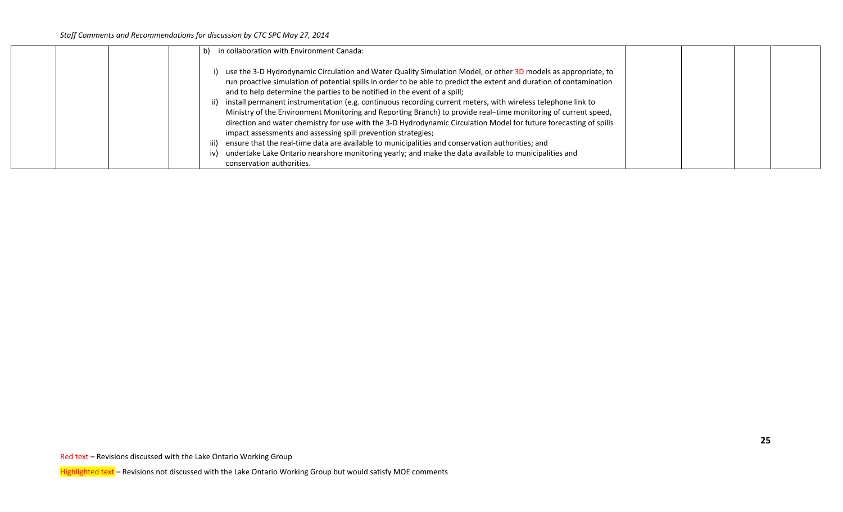|  | b) in collaboration with Environment Canada:                                                                                                                                                                                                                                                                                                                                                                                                                                                                                                                                                                                                                                                                                                                                                                                                                                                                                                                           |  |  |
|--|------------------------------------------------------------------------------------------------------------------------------------------------------------------------------------------------------------------------------------------------------------------------------------------------------------------------------------------------------------------------------------------------------------------------------------------------------------------------------------------------------------------------------------------------------------------------------------------------------------------------------------------------------------------------------------------------------------------------------------------------------------------------------------------------------------------------------------------------------------------------------------------------------------------------------------------------------------------------|--|--|
|  | use the 3-D Hydrodynamic Circulation and Water Quality Simulation Model, or other 3D models as appropriate, to<br>run proactive simulation of potential spills in order to be able to predict the extent and duration of contamination<br>and to help determine the parties to be notified in the event of a spill;<br>ii) install permanent instrumentation (e.g. continuous recording current meters, with wireless telephone link to<br>Ministry of the Environment Monitoring and Reporting Branch) to provide real-time monitoring of current speed,<br>direction and water chemistry for use with the 3-D Hydrodynamic Circulation Model for future forecasting of spills<br>impact assessments and assessing spill prevention strategies;<br>iii) ensure that the real-time data are available to municipalities and conservation authorities; and<br>iv) undertake Lake Ontario nearshore monitoring yearly; and make the data available to municipalities and |  |  |
|  | conservation authorities.                                                                                                                                                                                                                                                                                                                                                                                                                                                                                                                                                                                                                                                                                                                                                                                                                                                                                                                                              |  |  |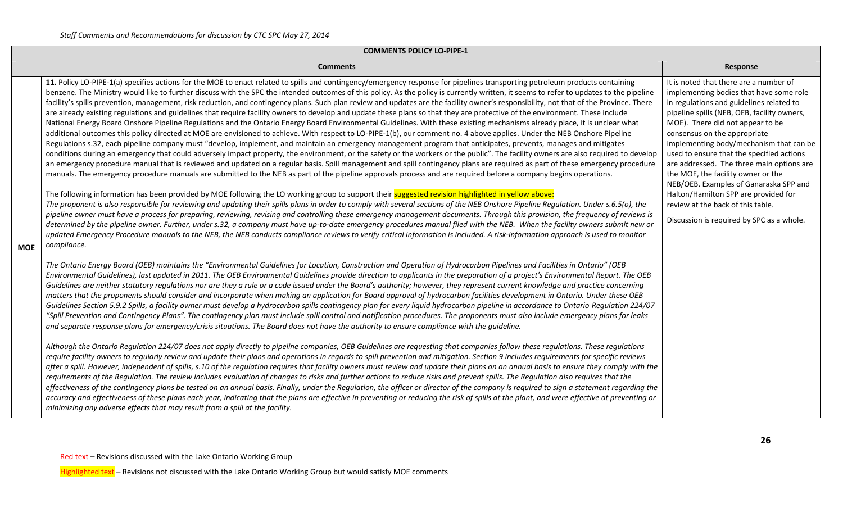|            | <b>COMMENTS POLICY LO-PIPE-1</b>                                                                                                                                                                                                                                                                                                                                                                                                                                                                                                                                                                                                                                                                                                                                                                                                                                                                                                                                                                                                                                                                                                                                                                                                                                                                                                                                                                                                                                                                                                                                                                                                                                                                                                                                                                                                                                                                                                                                                                                                                                                                                                                                                                                                                                                                                                                                                                                                                                                                                                                                                                                                                                                                                                              |                                                                                                                                                                                                                                                                                                                                                                                                                                                                                                                                                                                                 |  |  |  |  |  |  |  |  |
|------------|-----------------------------------------------------------------------------------------------------------------------------------------------------------------------------------------------------------------------------------------------------------------------------------------------------------------------------------------------------------------------------------------------------------------------------------------------------------------------------------------------------------------------------------------------------------------------------------------------------------------------------------------------------------------------------------------------------------------------------------------------------------------------------------------------------------------------------------------------------------------------------------------------------------------------------------------------------------------------------------------------------------------------------------------------------------------------------------------------------------------------------------------------------------------------------------------------------------------------------------------------------------------------------------------------------------------------------------------------------------------------------------------------------------------------------------------------------------------------------------------------------------------------------------------------------------------------------------------------------------------------------------------------------------------------------------------------------------------------------------------------------------------------------------------------------------------------------------------------------------------------------------------------------------------------------------------------------------------------------------------------------------------------------------------------------------------------------------------------------------------------------------------------------------------------------------------------------------------------------------------------------------------------------------------------------------------------------------------------------------------------------------------------------------------------------------------------------------------------------------------------------------------------------------------------------------------------------------------------------------------------------------------------------------------------------------------------------------------------------------------------|-------------------------------------------------------------------------------------------------------------------------------------------------------------------------------------------------------------------------------------------------------------------------------------------------------------------------------------------------------------------------------------------------------------------------------------------------------------------------------------------------------------------------------------------------------------------------------------------------|--|--|--|--|--|--|--|--|
|            | <b>Comments</b>                                                                                                                                                                                                                                                                                                                                                                                                                                                                                                                                                                                                                                                                                                                                                                                                                                                                                                                                                                                                                                                                                                                                                                                                                                                                                                                                                                                                                                                                                                                                                                                                                                                                                                                                                                                                                                                                                                                                                                                                                                                                                                                                                                                                                                                                                                                                                                                                                                                                                                                                                                                                                                                                                                                               | Response                                                                                                                                                                                                                                                                                                                                                                                                                                                                                                                                                                                        |  |  |  |  |  |  |  |  |
| <b>MOE</b> | 11. Policy LO-PIPE-1(a) specifies actions for the MOE to enact related to spills and contingency/emergency response for pipelines transporting petroleum products containing<br>benzene. The Ministry would like to further discuss with the SPC the intended outcomes of this policy. As the policy is currently written, it seems to refer to updates to the pipeline<br>facility's spills prevention, management, risk reduction, and contingency plans. Such plan review and updates are the facility owner's responsibility, not that of the Province. There<br>are already existing regulations and guidelines that require facility owners to develop and update these plans so that they are protective of the environment. These include<br>National Energy Board Onshore Pipeline Regulations and the Ontario Energy Board Environmental Guidelines. With these existing mechanisms already place, it is unclear what<br>additional outcomes this policy directed at MOE are envisioned to achieve. With respect to LO-PIPE-1(b), our comment no. 4 above applies. Under the NEB Onshore Pipeline<br>Regulations s.32, each pipeline company must "develop, implement, and maintain an emergency management program that anticipates, prevents, manages and mitigates<br>conditions during an emergency that could adversely impact property, the environment, or the safety or the workers or the public". The facility owners are also required to develop<br>an emergency procedure manual that is reviewed and updated on a regular basis. Spill management and spill contingency plans are required as part of these emergency procedure<br>manuals. The emergency procedure manuals are submitted to the NEB as part of the pipeline approvals process and are required before a company begins operations.<br>The following information has been provided by MOE following the LO working group to support their suggested revision highlighted in yellow above:<br>The proponent is also responsible for reviewing and updating their spills plans in order to comply with several sections of the NEB Onshore Pipeline Regulation. Under s.6.5(o), the<br>pipeline owner must have a process for preparing, reviewing, revising and controlling these emergency management documents. Through this provision, the frequency of reviews is<br>determined by the pipeline owner. Further, under s.32, a company must have up-to-date emergency procedures manual filed with the NEB. When the facility owners submit new or<br>updated Emergency Procedure manuals to the NEB, the NEB conducts compliance reviews to verify critical information is included. A risk-information approach is used to monitor<br>compliance. | It is noted that there are a number of<br>implementing bodies that have some role<br>in regulations and guidelines related to<br>pipeline spills (NEB, OEB, facility owners,<br>MOE). There did not appear to be<br>consensus on the appropriate<br>implementing body/mechanism that can be<br>used to ensure that the specified actions<br>are addressed. The three main options are<br>the MOE, the facility owner or the<br>NEB/OEB. Examples of Ganaraska SPP and<br>Halton/Hamilton SPP are provided for<br>review at the back of this table.<br>Discussion is required by SPC as a whole. |  |  |  |  |  |  |  |  |
|            | The Ontario Energy Board (OEB) maintains the "Environmental Guidelines for Location, Construction and Operation of Hydrocarbon Pipelines and Facilities in Ontario" (OEB<br>Environmental Guidelines), last updated in 2011. The OEB Environmental Guidelines provide direction to applicants in the preparation of a project's Environmental Report. The OEB<br>Guidelines are neither statutory regulations nor are they a rule or a code issued under the Board's authority; however, they represent current knowledge and practice concerning<br>matters that the proponents should consider and incorporate when making an application for Board approval of hydrocarbon facilities development in Ontario. Under these OEB<br>Guidelines Section 5.9.2 Spills, a facility owner must develop a hydrocarbon spills contingency plan for every liquid hydrocarbon pipeline in accordance to Ontario Regulation 224/07<br>"Spill Prevention and Contingency Plans". The contingency plan must include spill control and notification procedures. The proponents must also include emergency plans for leaks<br>and separate response plans for emergency/crisis situations. The Board does not have the authority to ensure compliance with the guideline.<br>Although the Ontario Regulation 224/07 does not apply directly to pipeline companies, OEB Guidelines are requesting that companies follow these regulations. These regulations<br>require facility owners to reqularly review and update their plans and operations in regards to spill prevention and mitigation. Section 9 includes requirements for specific reviews<br>after a spill. However, independent of spills, s.10 of the regulation requires that facility owners must review and update their plans on an annual basis to ensure they comply with the<br>requirements of the Regulation. The review includes evaluation of changes to risks and further actions to reduce risks and prevent spills. The Regulation also requires that the<br>effectiveness of the contingency plans be tested on an annual basis. Finally, under the Regulation, the officer or director of the company is required to sign a statement regarding the<br>accuracy and effectiveness of these plans each year, indicating that the plans are effective in preventing or reducing the risk of spills at the plant, and were effective at preventing or<br>minimizing any adverse effects that may result from a spill at the facility.                                                                                                                                                                                                                                           |                                                                                                                                                                                                                                                                                                                                                                                                                                                                                                                                                                                                 |  |  |  |  |  |  |  |  |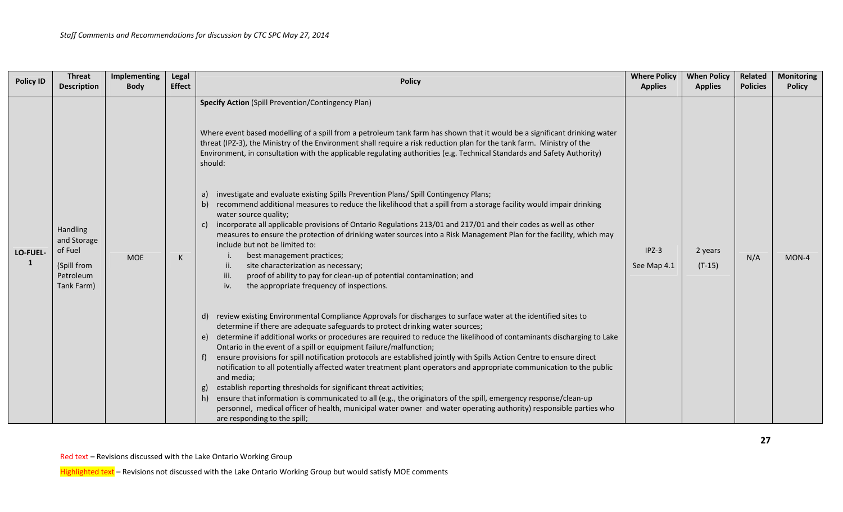| <b>Policy ID</b> | <b>Threat</b><br><b>Description</b>                                          | Implementing<br><b>Body</b> | Legal<br><b>Effect</b> | <b>Policy</b>                                                                                                                                                                                                                                                                                                                                                                                                                                                                                                                                                                                                                                                                                                                                                                                                                                                                                                                                                                                                                                                                                                                                                                                          | <b>Where Policy</b><br><b>Applies</b> | <b>When Policy</b><br><b>Applies</b> | Related<br><b>Policies</b> | <b>Monitoring</b><br><b>Policy</b> |
|------------------|------------------------------------------------------------------------------|-----------------------------|------------------------|--------------------------------------------------------------------------------------------------------------------------------------------------------------------------------------------------------------------------------------------------------------------------------------------------------------------------------------------------------------------------------------------------------------------------------------------------------------------------------------------------------------------------------------------------------------------------------------------------------------------------------------------------------------------------------------------------------------------------------------------------------------------------------------------------------------------------------------------------------------------------------------------------------------------------------------------------------------------------------------------------------------------------------------------------------------------------------------------------------------------------------------------------------------------------------------------------------|---------------------------------------|--------------------------------------|----------------------------|------------------------------------|
| LO-FUEL-<br>1    | Handling<br>and Storage<br>of Fuel<br>(Spill from<br>Petroleum<br>Tank Farm) | <b>MOE</b>                  | K                      | <b>Specify Action (Spill Prevention/Contingency Plan)</b><br>Where event based modelling of a spill from a petroleum tank farm has shown that it would be a significant drinking water<br>threat (IPZ-3), the Ministry of the Environment shall require a risk reduction plan for the tank farm. Ministry of the<br>Environment, in consultation with the applicable regulating authorities (e.g. Technical Standards and Safety Authority)<br>should:<br>investigate and evaluate existing Spills Prevention Plans/ Spill Contingency Plans;<br>a)<br>b) recommend additional measures to reduce the likelihood that a spill from a storage facility would impair drinking<br>water source quality;<br>incorporate all applicable provisions of Ontario Regulations 213/01 and 217/01 and their codes as well as other<br>C)<br>measures to ensure the protection of drinking water sources into a Risk Management Plan for the facility, which may<br>include but not be limited to:<br>best management practices;<br>ii.<br>site characterization as necessary;<br>proof of ability to pay for clean-up of potential contamination; and<br>iii.<br>the appropriate frequency of inspections.<br>iv. | $IPZ-3$<br>See Map 4.1                | 2 years<br>$(T-15)$                  | N/A                        | MON-4                              |
|                  |                                                                              |                             |                        | d) review existing Environmental Compliance Approvals for discharges to surface water at the identified sites to<br>determine if there are adequate safeguards to protect drinking water sources;<br>e) determine if additional works or procedures are required to reduce the likelihood of contaminants discharging to Lake<br>Ontario in the event of a spill or equipment failure/malfunction;<br>ensure provisions for spill notification protocols are established jointly with Spills Action Centre to ensure direct<br>notification to all potentially affected water treatment plant operators and appropriate communication to the public<br>and media;<br>establish reporting thresholds for significant threat activities;<br>g)<br>h) ensure that information is communicated to all (e.g., the originators of the spill, emergency response/clean-up<br>personnel, medical officer of health, municipal water owner and water operating authority) responsible parties who<br>are responding to the spill;                                                                                                                                                                               |                                       |                                      |                            |                                    |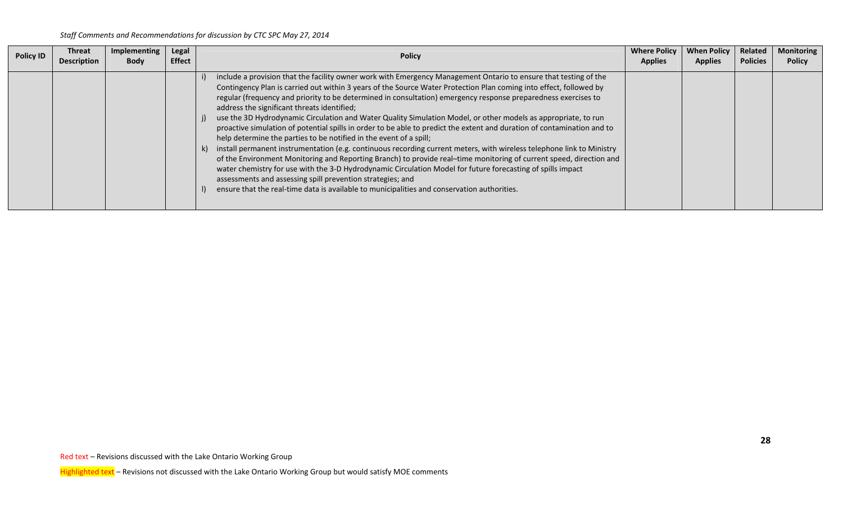| <b>Policy ID</b> | Threat<br><b>Description</b> | Implementing<br><b>Body</b> | Legal<br><b>Effect</b> | <b>Policy</b>                                                                                                                                                                                                                                                                                                                                                                                                                                                                                                                                                                                                                                                                                                                                                                                                                                                                                                                                                                                                                                                                                                                                                                                                                                                | <b>Where Policy</b><br><b>Applies</b> | <b>When Policy</b><br><b>Applies</b> | Related<br><b>Policies</b> | <b>Monitoring</b><br><b>Policy</b> |
|------------------|------------------------------|-----------------------------|------------------------|--------------------------------------------------------------------------------------------------------------------------------------------------------------------------------------------------------------------------------------------------------------------------------------------------------------------------------------------------------------------------------------------------------------------------------------------------------------------------------------------------------------------------------------------------------------------------------------------------------------------------------------------------------------------------------------------------------------------------------------------------------------------------------------------------------------------------------------------------------------------------------------------------------------------------------------------------------------------------------------------------------------------------------------------------------------------------------------------------------------------------------------------------------------------------------------------------------------------------------------------------------------|---------------------------------------|--------------------------------------|----------------------------|------------------------------------|
|                  |                              |                             |                        | include a provision that the facility owner work with Emergency Management Ontario to ensure that testing of the<br>Contingency Plan is carried out within 3 years of the Source Water Protection Plan coming into effect, followed by<br>regular (frequency and priority to be determined in consultation) emergency response preparedness exercises to<br>address the significant threats identified;<br>use the 3D Hydrodynamic Circulation and Water Quality Simulation Model, or other models as appropriate, to run<br>proactive simulation of potential spills in order to be able to predict the extent and duration of contamination and to<br>help determine the parties to be notified in the event of a spill;<br>install permanent instrumentation (e.g. continuous recording current meters, with wireless telephone link to Ministry<br>k)<br>of the Environment Monitoring and Reporting Branch) to provide real-time monitoring of current speed, direction and<br>water chemistry for use with the 3-D Hydrodynamic Circulation Model for future forecasting of spills impact<br>assessments and assessing spill prevention strategies; and<br>ensure that the real-time data is available to municipalities and conservation authorities. |                                       |                                      |                            |                                    |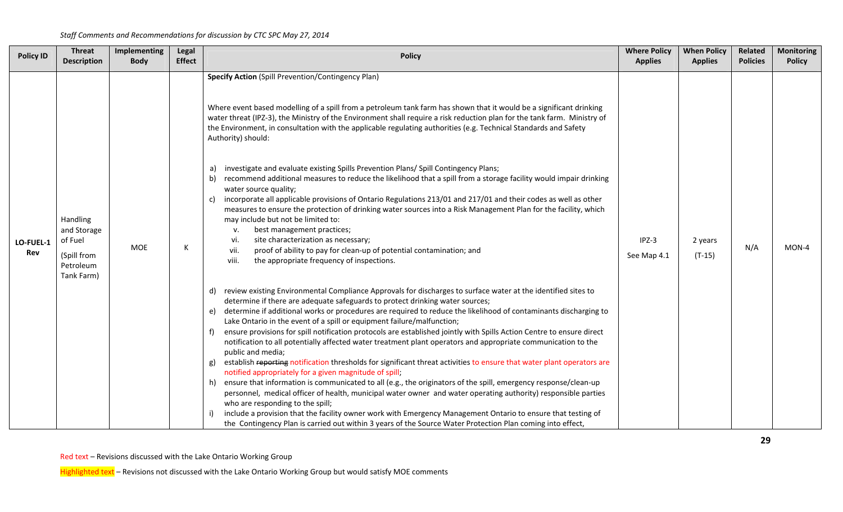| <b>Policy ID</b> | <b>Threat</b><br><b>Description</b>                                          | Implementing<br><b>Body</b> | Legal<br><b>Effect</b> | <b>Policy</b>                                                                                                                                                                                                                                                                                                                                                                                                                                                                                                                                                                                                                                                                                                                                                                                                                                                                                                                                                                                                                                                                                                                                                                                                                                                                                                                                                                                                                                                                                                                                                                                                                                                                                                                                                                                                                                                                                                                                                                                                                                                        | <b>Where Policy</b><br><b>Applies</b> | <b>When Policy</b><br><b>Applies</b> | <b>Related</b><br><b>Policies</b> | <b>Monitoring</b><br><b>Policy</b> |
|------------------|------------------------------------------------------------------------------|-----------------------------|------------------------|----------------------------------------------------------------------------------------------------------------------------------------------------------------------------------------------------------------------------------------------------------------------------------------------------------------------------------------------------------------------------------------------------------------------------------------------------------------------------------------------------------------------------------------------------------------------------------------------------------------------------------------------------------------------------------------------------------------------------------------------------------------------------------------------------------------------------------------------------------------------------------------------------------------------------------------------------------------------------------------------------------------------------------------------------------------------------------------------------------------------------------------------------------------------------------------------------------------------------------------------------------------------------------------------------------------------------------------------------------------------------------------------------------------------------------------------------------------------------------------------------------------------------------------------------------------------------------------------------------------------------------------------------------------------------------------------------------------------------------------------------------------------------------------------------------------------------------------------------------------------------------------------------------------------------------------------------------------------------------------------------------------------------------------------------------------------|---------------------------------------|--------------------------------------|-----------------------------------|------------------------------------|
| LO-FUEL-1<br>Rev | Handling<br>and Storage<br>of Fuel<br>(Spill from<br>Petroleum<br>Tank Farm) | <b>MOE</b>                  | K                      | <b>Specify Action (Spill Prevention/Contingency Plan)</b><br>Where event based modelling of a spill from a petroleum tank farm has shown that it would be a significant drinking<br>water threat (IPZ-3), the Ministry of the Environment shall require a risk reduction plan for the tank farm. Ministry of<br>the Environment, in consultation with the applicable regulating authorities (e.g. Technical Standards and Safety<br>Authority) should:<br>investigate and evaluate existing Spills Prevention Plans/ Spill Contingency Plans;<br>a)<br>recommend additional measures to reduce the likelihood that a spill from a storage facility would impair drinking<br>water source quality;<br>incorporate all applicable provisions of Ontario Regulations 213/01 and 217/01 and their codes as well as other<br>c)<br>measures to ensure the protection of drinking water sources into a Risk Management Plan for the facility, which<br>may include but not be limited to:<br>best management practices;<br>v.<br>site characterization as necessary;<br>vi.<br>proof of ability to pay for clean-up of potential contamination; and<br>vii.<br>viii.<br>the appropriate frequency of inspections.<br>review existing Environmental Compliance Approvals for discharges to surface water at the identified sites to<br>determine if there are adequate safeguards to protect drinking water sources;<br>determine if additional works or procedures are required to reduce the likelihood of contaminants discharging to<br>Lake Ontario in the event of a spill or equipment failure/malfunction;<br>ensure provisions for spill notification protocols are established jointly with Spills Action Centre to ensure direct<br>notification to all potentially affected water treatment plant operators and appropriate communication to the<br>public and media;<br>establish reporting notification thresholds for significant threat activities to ensure that water plant operators are<br>g)<br>notified appropriately for a given magnitude of spill; | IPZ-3<br>See Map 4.1                  | 2 years<br>$(T-15)$                  | N/A                               | MON-4                              |
|                  |                                                                              |                             |                        | ensure that information is communicated to all (e.g., the originators of the spill, emergency response/clean-up<br>personnel, medical officer of health, municipal water owner and water operating authority) responsible parties<br>who are responding to the spill;<br>include a provision that the facility owner work with Emergency Management Ontario to ensure that testing of<br>the Contingency Plan is carried out within 3 years of the Source Water Protection Plan coming into effect,                                                                                                                                                                                                                                                                                                                                                                                                                                                                                                                                                                                                                                                                                                                                                                                                                                                                                                                                                                                                                                                                                                                                                                                                                                                                                                                                                                                                                                                                                                                                                                  |                                       |                                      |                                   |                                    |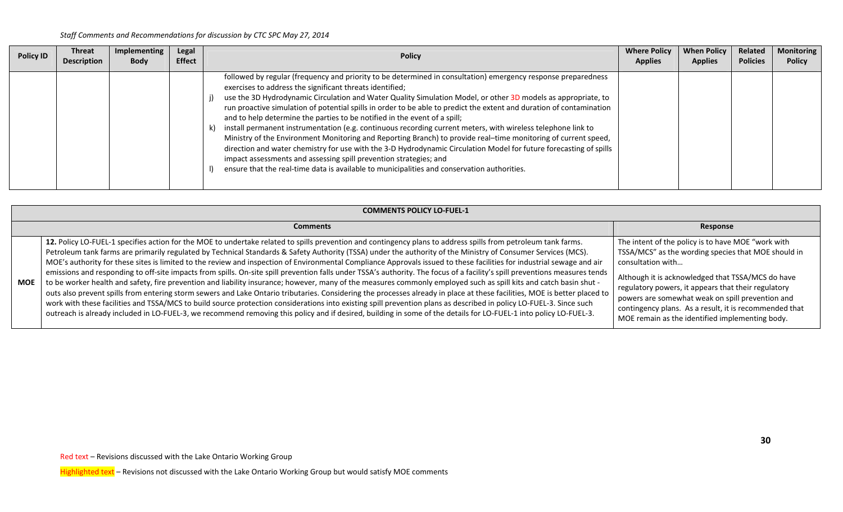| <b>Policy ID</b> | Threat<br><b>Description</b> | <b>Implementing</b><br><b>Body</b> | Legal<br><b>Effect</b> | <b>Policy</b>                                                                                                                                                                                                                                                                                                                                                                                                                                                                                                                                                                                                                                                                                                                                                                                                                                                                                                                                                                                                               | <b>Where Policy</b><br><b>Applies</b> | <b>When Policy</b><br><b>Applies</b> | Related<br><b>Policies</b> | <b>Monitoring</b><br><b>Policy</b> |
|------------------|------------------------------|------------------------------------|------------------------|-----------------------------------------------------------------------------------------------------------------------------------------------------------------------------------------------------------------------------------------------------------------------------------------------------------------------------------------------------------------------------------------------------------------------------------------------------------------------------------------------------------------------------------------------------------------------------------------------------------------------------------------------------------------------------------------------------------------------------------------------------------------------------------------------------------------------------------------------------------------------------------------------------------------------------------------------------------------------------------------------------------------------------|---------------------------------------|--------------------------------------|----------------------------|------------------------------------|
|                  |                              |                                    |                        | followed by regular (frequency and priority to be determined in consultation) emergency response preparedness<br>exercises to address the significant threats identified;<br>use the 3D Hydrodynamic Circulation and Water Quality Simulation Model, or other 3D models as appropriate, to<br>run proactive simulation of potential spills in order to be able to predict the extent and duration of contamination<br>and to help determine the parties to be notified in the event of a spill;<br>install permanent instrumentation (e.g. continuous recording current meters, with wireless telephone link to<br>Ministry of the Environment Monitoring and Reporting Branch) to provide real-time monitoring of current speed,<br>direction and water chemistry for use with the 3-D Hydrodynamic Circulation Model for future forecasting of spills<br>impact assessments and assessing spill prevention strategies; and<br>ensure that the real-time data is available to municipalities and conservation authorities. |                                       |                                      |                            |                                    |

|            | <b>COMMENTS POLICY LO-FUEL-1</b>                                                                                                                                                                                                                                                                                                                                                                                                                                                                                                                                                                                                                                                                                                                                                                                                                                                                                                                                                                                                                                                                                                                                                                                                                                                                                                                                                        |                                                                                                                                                                                                                                                                                                                                                                                                             |
|------------|-----------------------------------------------------------------------------------------------------------------------------------------------------------------------------------------------------------------------------------------------------------------------------------------------------------------------------------------------------------------------------------------------------------------------------------------------------------------------------------------------------------------------------------------------------------------------------------------------------------------------------------------------------------------------------------------------------------------------------------------------------------------------------------------------------------------------------------------------------------------------------------------------------------------------------------------------------------------------------------------------------------------------------------------------------------------------------------------------------------------------------------------------------------------------------------------------------------------------------------------------------------------------------------------------------------------------------------------------------------------------------------------|-------------------------------------------------------------------------------------------------------------------------------------------------------------------------------------------------------------------------------------------------------------------------------------------------------------------------------------------------------------------------------------------------------------|
|            | <b>Comments</b>                                                                                                                                                                                                                                                                                                                                                                                                                                                                                                                                                                                                                                                                                                                                                                                                                                                                                                                                                                                                                                                                                                                                                                                                                                                                                                                                                                         | Response                                                                                                                                                                                                                                                                                                                                                                                                    |
| <b>MOE</b> | 12. Policy LO-FUEL-1 specifies action for the MOE to undertake related to spills prevention and contingency plans to address spills from petroleum tank farms.<br>Petroleum tank farms are primarily regulated by Technical Standards & Safety Authority (TSSA) under the authority of the Ministry of Consumer Services (MCS).<br>MOE's authority for these sites is limited to the review and inspection of Environmental Compliance Approvals issued to these facilities for industrial sewage and air<br>emissions and responding to off-site impacts from spills. On-site spill prevention falls under TSSA's authority. The focus of a facility's spill preventions measures tends<br>to be worker health and safety, fire prevention and liability insurance; however, many of the measures commonly employed such as spill kits and catch basin shut -<br>outs also prevent spills from entering storm sewers and Lake Ontario tributaries. Considering the processes already in place at these facilities, MOE is better placed to<br>work with these facilities and TSSA/MCS to build source protection considerations into existing spill prevention plans as described in policy LO-FUEL-3. Since such<br>outreach is already included in LO-FUEL-3, we recommend removing this policy and if desired, building in some of the details for LO-FUEL-1 into policy LO-FUEL-3. | The intent of the policy is to have MOE "work with<br>TSSA/MCS" as the wording species that MOE should in<br>consultation with<br>Although it is acknowledged that TSSA/MCS do have<br>regulatory powers, it appears that their regulatory<br>powers are somewhat weak on spill prevention and<br>contingency plans. As a result, it is recommended that<br>MOE remain as the identified implementing body. |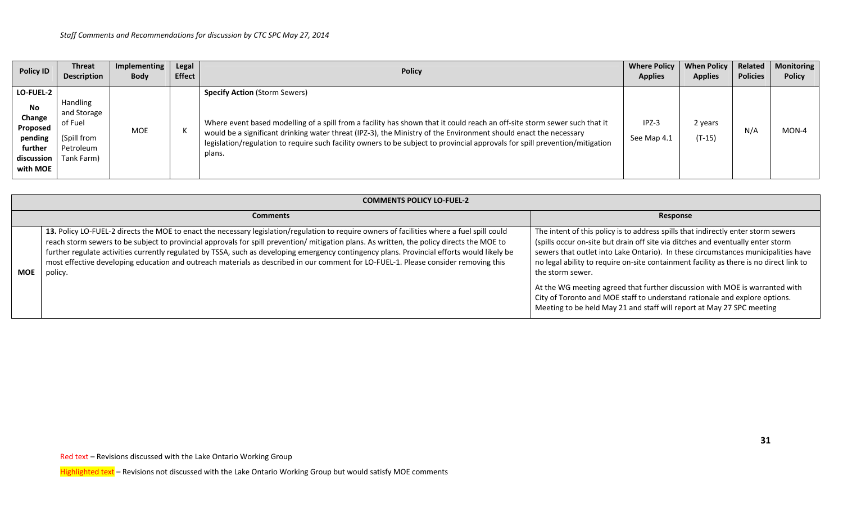| <b>Policy ID</b>                                                                              | <b>Threat</b><br><b>Description</b>                                          | Implementing<br><b>Body</b> | Legal<br><b>Effect</b> | <b>Policy</b>                                                                                                                                                                                                                                                                                                                                                                                                                   | <b>Where Policy</b><br><b>Applies</b> | <b>When Policy</b><br><b>Applies</b> | Related<br><b>Policies</b> | <b>Monitoring</b><br><b>Policy</b> |
|-----------------------------------------------------------------------------------------------|------------------------------------------------------------------------------|-----------------------------|------------------------|---------------------------------------------------------------------------------------------------------------------------------------------------------------------------------------------------------------------------------------------------------------------------------------------------------------------------------------------------------------------------------------------------------------------------------|---------------------------------------|--------------------------------------|----------------------------|------------------------------------|
| <b>LO-FUEL-2</b><br>No.<br>Change<br>Proposed<br>pending<br>further<br>discussion<br>with MOE | Handling<br>and Storage<br>of Fuel<br>(Spill from<br>Petroleum<br>Tank Farm) | MOE                         |                        | <b>Specify Action (Storm Sewers)</b><br>Where event based modelling of a spill from a facility has shown that it could reach an off-site storm sewer such that it<br>would be a significant drinking water threat (IPZ-3), the Ministry of the Environment should enact the necessary<br>legislation/regulation to require such facility owners to be subject to provincial approvals for spill prevention/mitigation<br>plans. | $IPZ-3$<br>See Map 4.1                | 2 years<br>$(T-15)$                  | N/A                        | MON-4                              |

|     | <b>COMMENTS POLICY LO-FUEL-2</b>                                                                                                                                                                                                                                                                                                                                                                                                                                                                                                                                                          |                                                                                                                                                                                                                                                                                                                                                                                                                                                                                                                                                                                                               |
|-----|-------------------------------------------------------------------------------------------------------------------------------------------------------------------------------------------------------------------------------------------------------------------------------------------------------------------------------------------------------------------------------------------------------------------------------------------------------------------------------------------------------------------------------------------------------------------------------------------|---------------------------------------------------------------------------------------------------------------------------------------------------------------------------------------------------------------------------------------------------------------------------------------------------------------------------------------------------------------------------------------------------------------------------------------------------------------------------------------------------------------------------------------------------------------------------------------------------------------|
|     | <b>Comments</b>                                                                                                                                                                                                                                                                                                                                                                                                                                                                                                                                                                           | Response                                                                                                                                                                                                                                                                                                                                                                                                                                                                                                                                                                                                      |
| MOE | 13. Policy LO-FUEL-2 directs the MOE to enact the necessary legislation/regulation to require owners of facilities where a fuel spill could<br>reach storm sewers to be subject to provincial approvals for spill prevention/mitigation plans. As written, the policy directs the MOE to<br>further regulate activities currently regulated by TSSA, such as developing emergency contingency plans. Provincial efforts would likely be<br>most effective developing education and outreach materials as described in our comment for LO-FUEL-1. Please consider removing this<br>policy. | The intent of this policy is to address spills that indirectly enter storm sewers<br>(spills occur on-site but drain off site via ditches and eventually enter storm<br>sewers that outlet into Lake Ontario). In these circumstances municipalities have<br>no legal ability to require on-site containment facility as there is no direct link to<br>the storm sewer.<br>At the WG meeting agreed that further discussion with MOE is warranted with<br>City of Toronto and MOE staff to understand rationale and explore options.<br>Meeting to be held May 21 and staff will report at May 27 SPC meeting |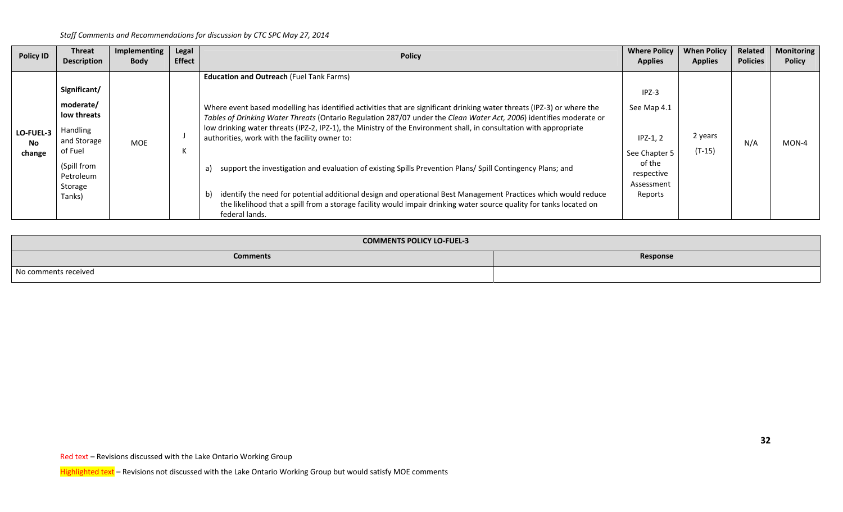| <b>Policy ID</b>                 | Threat<br><b>Description</b>                   | Implementing<br><b>Body</b> | Legal<br><b>Effect</b>                                                                                                                                                                                                                                        | <b>Policy</b>                                                                                                                                                                                                                                 | <b>Where Policy</b><br><b>Applies</b>               | <b>When Policy</b><br><b>Applies</b> | Related<br><b>Policies</b> | <b>Monitoring</b><br><b>Policy</b> |
|----------------------------------|------------------------------------------------|-----------------------------|---------------------------------------------------------------------------------------------------------------------------------------------------------------------------------------------------------------------------------------------------------------|-----------------------------------------------------------------------------------------------------------------------------------------------------------------------------------------------------------------------------------------------|-----------------------------------------------------|--------------------------------------|----------------------------|------------------------------------|
|                                  |                                                |                             |                                                                                                                                                                                                                                                               | <b>Education and Outreach (Fuel Tank Farms)</b>                                                                                                                                                                                               |                                                     |                                      |                            |                                    |
|                                  | Significant/                                   |                             |                                                                                                                                                                                                                                                               |                                                                                                                                                                                                                                               | $IPZ-3$                                             |                                      |                            |                                    |
| LO-FUEL-3<br><b>No</b><br>change | moderate/<br>low threats                       |                             | <b>MOE</b>                                                                                                                                                                                                                                                    | Where event based modelling has identified activities that are significant drinking water threats (IPZ-3) or where the<br>Tables of Drinking Water Threats (Ontario Regulation 287/07 under the Clean Water Act, 2006) identifies moderate or | See Map 4.1                                         |                                      | N/A                        | $MON-4$                            |
|                                  | Handling<br>and Storage                        |                             |                                                                                                                                                                                                                                                               | low drinking water threats (IPZ-2, IPZ-1), the Ministry of the Environment shall, in consultation with appropriate<br>authorities, work with the facility owner to:                                                                           | $IPZ-1, 2$                                          | 2 years                              |                            |                                    |
|                                  | of Fuel<br>(Spill from<br>Petroleum<br>Storage |                             |                                                                                                                                                                                                                                                               | support the investigation and evaluation of existing Spills Prevention Plans/ Spill Contingency Plans; and<br>a)                                                                                                                              | See Chapter 5<br>of the<br>respective<br>Assessment | $(T-15)$                             |                            |                                    |
|                                  | Tanks)                                         |                             | identify the need for potential additional design and operational Best Management Practices which would reduce<br>b)<br>the likelihood that a spill from a storage facility would impair drinking water source quality for tanks located on<br>federal lands. | Reports                                                                                                                                                                                                                                       |                                                     |                                      |                            |                                    |

| <b>COMMENTS POLICY LO-FUEL-3</b> |          |
|----------------------------------|----------|
| <b>Comments</b>                  | Response |
| No comments received             |          |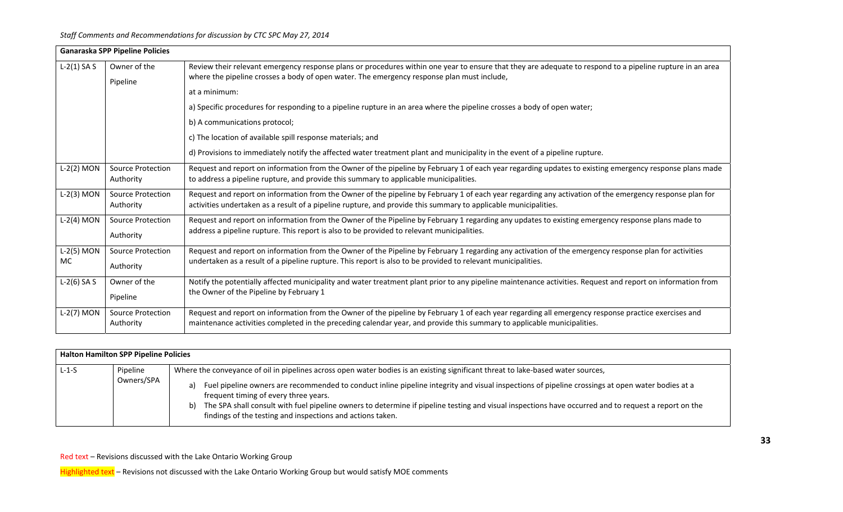|               | <b>Ganaraska SPP Pipeline Policies</b> |                                                                                                                                                                                                                                                                                |
|---------------|----------------------------------------|--------------------------------------------------------------------------------------------------------------------------------------------------------------------------------------------------------------------------------------------------------------------------------|
| $L-2(1)$ SA S | Owner of the<br>Pipeline               | Review their relevant emergency response plans or procedures within one year to ensure that they are adequate to respond to a pipeline rupture in an area<br>where the pipeline crosses a body of open water. The emergency response plan must include,                        |
|               |                                        | at a minimum:                                                                                                                                                                                                                                                                  |
|               |                                        | a) Specific procedures for responding to a pipeline rupture in an area where the pipeline crosses a body of open water;                                                                                                                                                        |
|               |                                        | b) A communications protocol;                                                                                                                                                                                                                                                  |
|               |                                        | c) The location of available spill response materials; and                                                                                                                                                                                                                     |
|               |                                        | d) Provisions to immediately notify the affected water treatment plant and municipality in the event of a pipeline rupture.                                                                                                                                                    |
| $L-2(2)$ MON  | Source Protection<br>Authority         | Request and report on information from the Owner of the pipeline by February 1 of each year regarding updates to existing emergency response plans made<br>to address a pipeline rupture, and provide this summary to applicable municipalities.                               |
| $L-2(3)$ MON  | Source Protection<br>Authority         | Request and report on information from the Owner of the pipeline by February 1 of each year regarding any activation of the emergency response plan for<br>activities undertaken as a result of a pipeline rupture, and provide this summary to applicable municipalities.     |
| $L-2(4)$ MON  | <b>Source Protection</b><br>Authority  | Request and report on information from the Owner of the Pipeline by February 1 regarding any updates to existing emergency response plans made to<br>address a pipeline rupture. This report is also to be provided to relevant municipalities.                                |
| L-2(5) MON    | <b>Source Protection</b>               | Request and report on information from the Owner of the Pipeline by February 1 regarding any activation of the emergency response plan for activities                                                                                                                          |
| <b>MC</b>     | Authority                              | undertaken as a result of a pipeline rupture. This report is also to be provided to relevant municipalities.                                                                                                                                                                   |
| $L-2(6)$ SA S | Owner of the                           | Notify the potentially affected municipality and water treatment plant prior to any pipeline maintenance activities. Request and report on information from                                                                                                                    |
|               | Pipeline                               | the Owner of the Pipeline by February 1                                                                                                                                                                                                                                        |
| $L-2(7)$ MON  | <b>Source Protection</b><br>Authority  | Request and report on information from the Owner of the pipeline by February 1 of each year regarding all emergency response practice exercises and<br>maintenance activities completed in the preceding calendar year, and provide this summary to applicable municipalities. |

|         | Halton Hamilton SPP Pipeline Policies |                                                                                                                                                                                                                                                                                                                                                                                                                                                                                                                                                                 |  |  |  |
|---------|---------------------------------------|-----------------------------------------------------------------------------------------------------------------------------------------------------------------------------------------------------------------------------------------------------------------------------------------------------------------------------------------------------------------------------------------------------------------------------------------------------------------------------------------------------------------------------------------------------------------|--|--|--|
| $L-1-S$ | Pipeline<br>Owners/SPA                | Where the conveyance of oil in pipelines across open water bodies is an existing significant threat to lake-based water sources,<br>Fuel pipeline owners are recommended to conduct inline pipeline integrity and visual inspections of pipeline crossings at open water bodies at a<br>a)<br>frequent timing of every three years.<br>The SPA shall consult with fuel pipeline owners to determine if pipeline testing and visual inspections have occurred and to request a report on the<br>b)<br>findings of the testing and inspections and actions taken. |  |  |  |